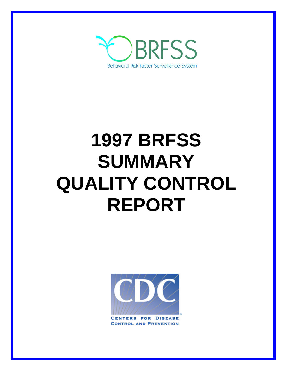

# **1997 BRFSS SUMMARY QUALITY CONTROL REPORT**



**CONTROL AND PREVENTION**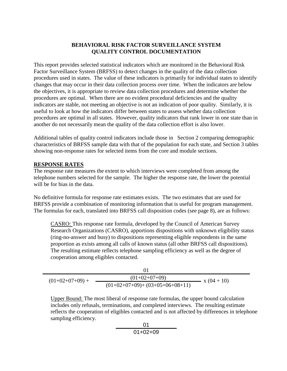#### **BEHAVIORAL RISK FACTOR SURVEILLANCE SYSTEM QUALITY CONTROL DOCUMENTATION**

This report provides selected statistical indicators which are monitored in the Behavioral Risk Factor Surveillance System (BRFSS) to detect changes in the quality of the data collection procedures used in states. The value of these indicators is primarily for individual states to identify changes that may occur in their data collection process over time. When the indicators are below the objectives, it is appropriate to review data collection procedures and determine whether the procedures are optimal. When there are no evident procedural deficiencies and the quality indicators are stable, not meeting an objective is not an indication of poor quality. Similarly, it is useful to look at how the indicators differ between states to assess whether data collection procedures are optimal in all states. However, quality indicators that rank lower in one state than in another do not necessarily mean the quality of the data collection effort is also lower.

Additional tables of quality control indicators include those in Section 2 comparing demographic characteristics of BRFSS sample data with that of the population for each state, and Section 3 tables showing non-response rates for selected items from the core and module sections.

#### **RESPONSE RATES**

The response rate measures the extent to which interviews were completed from among the telephone numbers selected for the sample. The higher the response rate, the lower the potential will be for bias in the data.

No definitive formula for response rate estimates exists. The two estimates that are used for BRFSS provide a combination of monitoring information that is useful for program management. The formulas for each, translated into BRFSS call disposition codes (see page 8), are as follows:

CASRO: This response rate formula, developed by the Council of American Survey Research Organizations (CASRO), apportions dispositions with unknown eligibility status (ring-no-answer and busy) to dispositions representing eligible respondents in the same proportion as exists among all calls of known status (all other BRFSS call dispositions). The resulting estimate reflects telephone sampling efficiency as well as the degree of cooperation among eligibles contacted.

| $(01+02+07+09) +$ | $(01+02+07+09)$                      | $x(04+10)$ |  |
|-------------------|--------------------------------------|------------|--|
|                   | $(01+02+07+09)$ + $(03+05+06+08+11)$ |            |  |

Upper Bound: The most liberal of response rate formulas, the upper bound calculation includes only refusals, terminations, and completed interviews. The resulting estimate reflects the cooperation of eligibles contacted and is not affected by differences in telephone sampling efficiency.

| 01         |  |
|------------|--|
| $01+02+09$ |  |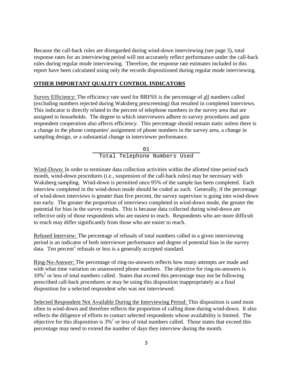Because the call-back rules are disregarded during wind-down interviewing (see page 3), total response rates for an interviewing period will not accurately reflect performance under the call-back rules during regular mode interviewing. Therefore, the response rate estimates included in this report have been calculated using only the records dispositioned during regular mode interviewing.

#### **OTHER IMPORTANT QUALITY CONTROL INDICATORS**

Survey Efficiency: The efficiency rate used for BRFSS is the percentage of all numbers called (excluding numbers rejected during Waksberg prescreening) that resulted in completed interviews. This indicator is directly related to the percent of telephone numbers in the survey area that are assigned to households. The degree to which interviewers adhere to survey procedures and gain respondent cooperation also affects efficiency. This percentage should remain static unless there is a change in the phone companies' assignment of phone numbers in the survey area, a change in sampling design, or a substantial change in interviewer performance.

> 01 Total Telephone Numbers Used

Wind-Down: In order to terminate data collection activities within the allotted time period each month, wind-down procedures (i.e., suspension of the call-back rules) may be necessary with Waksberg sampling. Wind-down is permitted once 95% of the sample has been completed. Each interview completed in the wind-down mode should be coded as such. Generally, if the percentage of wind-down interviews is greater than five percent, the survey supervisor is going into wind-down too early. The greater the proportion of interviews completed in wind-down mode, the greater the potential for bias in the survey results. This is because data collected during wind-down are reflective only of those respondents who are easiest to reach. Respondents who are more difficult to reach may differ significantly from those who are easier to reach.

Refused Interview: The percentage of refusals of total numbers called in a given interviewing period is an indicator of both interviewer performance and degree of potential bias in the survey data. Ten percent<sup>1</sup> refusals or less is a generally accepted standard.

Ring-No-Answer: The percentage of ring-no-answers reflects how many attempts are made and with what time variation on unanswered phone numbers. The objective for ring-no-answers is  $10\%$ <sup>1</sup> or less of total numbers called. States that exceed this percentage may not be following prescribed call-back procedures or may be using this disposition inappropriately as a final disposition for a selected respondent who was not interviewed.

Selected Respondent Not Available During the Interviewing Period: This disposition is used most often in wind-down and therefore reflects the proportion of calling done during wind-down. It also reflects the diligence of efforts to contact selected respondents whose availability is limited. The objective for this disposition is  $3\%$ <sup>1</sup> or less of total numbers called. Those states that exceed this percentage may need to extend the number of days they interview during the month.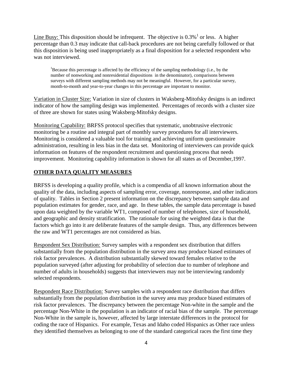Line Busy: This disposition should be infrequent. The objective is  $0.3\%$ <sup>1</sup> or less. A higher percentage than 0.3 may indicate that call-back procedures are not being carefully followed or that this disposition is being used inappropriately as a final disposition for a selected respondent who was not interviewed.

<sup>1</sup>Because this percentage is affected by the efficiency of the sampling methodology (i.e., by the number of nonworking and nonresidential dispositions in the denominator), comparisons between surveys with different sampling methods may not be meaningful. However, for a particular survey, month-to-month and year-to-year changes in this percentage are important to monitor.

Variation in Cluster Size: Variation in size of clusters in Waksberg-Mitofsky designs is an indirect indicator of how the sampling design was implemented. Percentages of records with a cluster size of three are shown for states using Waksberg-Mitofsky designs.

Monitoring Capability: BRFSS protocol specifies that systematic, unobtrusive electronic monitoring be a routine and integral part of monthly survey procedures for all interviewers. Monitoring is considered a valuable tool for training and achieving uniform questionnaire administration, resulting in less bias in the data set. Monitoring of interviewers can provide quick information on features of the respondent recruitment and questioning process that needs improvement. Monitoring capability information is shown for all states as of December,1997.

## **OTHER DATA QUALITY MEASURES**

BRFSS is developing a quality profile, which is a compendia of all known information about the quality of the data, including aspects of sampling error, coverage, nonresponse, and other indicators of quality. Tables in Section 2 present information on the discrepancy between sample data and population estimates for gender, race, and age. In these tables, the sample data percentage is based upon data weighted by the variable WT1, composed of number of telephones, size of household, and geographic and density stratification. The rationale for using the weighted data is that the factors which go into it are deliberate features of the sample design. Thus, any differences between the raw and WT1 percentages are not considered as bias.

Respondent Sex Distribution: Survey samples with a respondent sex distribution that differs substantially from the population distribution in the survey area may produce biased estimates of risk factor prevalences. A distribution substantially skewed toward females relative to the population surveyed (after adjusting for probability of selection due to number of telephone and number of adults in households) suggests that interviewers may not be interviewing randomly selected respondents.

Respondent Race Distribution: Survey samples with a respondent race distribution that differs substantially from the population distribution in the survey area may produce biased estimates of risk factor prevalences. The discrepancy between the percentage Non-white in the sample and the percentage Non-White in the population is an indicator of racial bias of the sample. The percentage Non-White in the sample is, however, affected by large interstate differences in the protocol for coding the race of Hispanics. For example, Texas and Idaho coded Hispanics as Other race unless they identified themselves as belonging to one of the standard categorical races the first time they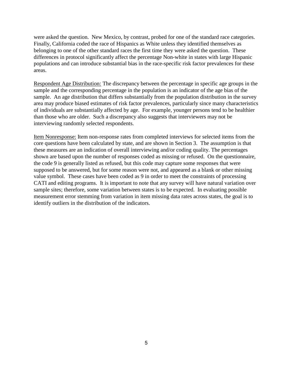were asked the question. New Mexico, by contrast, probed for one of the standard race categories. Finally, California coded the race of Hispanics as White unless they identified themselves as belonging to one of the other standard races the first time they were asked the question. These differences in protocol significantly affect the percentage Non-white in states with large Hispanic populations and can introduce substantial bias in the race-specific risk factor prevalences for these areas.

Respondent Age Distribution: The discrepancy between the percentage in specific age groups in the sample and the corresponding percentage in the population is an indicator of the age bias of the sample. An age distribution that differs substantially from the population distribution in the survey area may produce biased estimates of risk factor prevalences, particularly since many characteristics of individuals are substantially affected by age. For example, younger persons tend to be healthier than those who are older. Such a discrepancy also suggests that interviewers may not be interviewing randomly selected respondents.

Item Nonresponse: Item non-response rates from completed interviews for selected items from the core questions have been calculated by state, and are shown in Section 3. The assumption is that these measures are an indication of overall interviewing and/or coding quality. The percentages shown are based upon the number of responses coded as missing or refused. On the questionnaire, the code 9 is generally listed as refused, but this code may capture some responses that were supposed to be answered, but for some reason were not, and appeared as a blank or other missing value symbol. These cases have been coded as 9 in order to meet the constraints of processing CATI and editing programs. It is important to note that any survey will have natural variation over sample sites; therefore, some variation between states is to be expected. In evaluating possible measurement error stemming from variation in item missing data rates across states, the goal is to identify outliers in the distribution of the indicators.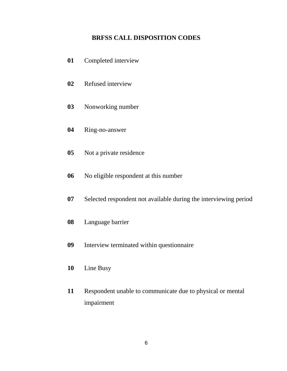# **BRFSS CALL DISPOSITION CODES**

- Completed interview
- Refused interview
- Nonworking number
- Ring-no-answer
- Not a private residence
- No eligible respondent at this number
- Selected respondent not available during the interviewing period
- Language barrier
- Interview terminated within questionnaire
- Line Busy
- Respondent unable to communicate due to physical or mental impairment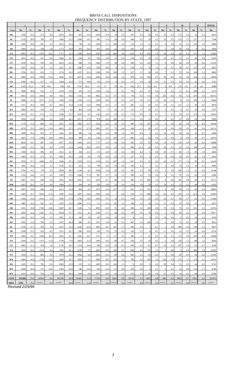#### BRFSS CALL DISPOSITIONS FREQUENCY DISTRIBUTION BY STATE, 1997

|                        | 1            |                                     | $\mathbf 2$ |            | 3            |                  | $\boldsymbol{4}$ |             | 5           |              |                 | 6          | $\overline{7}$ |            | ${\bf 8}$      |            | 9                   |            |                | 10         | 11       |            | <b>TOTAL</b>  |
|------------------------|--------------|-------------------------------------|-------------|------------|--------------|------------------|------------------|-------------|-------------|--------------|-----------------|------------|----------------|------------|----------------|------------|---------------------|------------|----------------|------------|----------|------------|---------------|
| <b>State</b>           | No           | $\%$                                | No          | $\%$       | No           | $\mathcal{O}'_0$ | No               | $\%$        | No          | $\%$         | N <sub>0</sub>  | $\%$       | No             | $\%$       | No             | $\%$       | N <sub>0</sub>      | $\%$       | No             | $\%$       | No.      | $\%$       | No            |
| AК                     | 1545         | 23.3                                | 573         | 8.6        | 2013         | 30.4             | 823              | 12.4        | 1036        | 15.6         | 14              | 0.2        | 367            | 5.5        | 42             | 0.6        | 10                  | 0.2        | 171            | 2.6        | 31       | 0.5        | 6625          |
| AL                     | 2176         | 28.8                                | 700         | 9.3        | 1906         | 25.3             | 1096             | 14.5        | 891         | 11.8         | 28              | 0.4        | 468            | 6.2        | 10             | 0.1        | 34                  | 0.5        | 112            | 1.5        | 127      | 1.7        | 7548          |
| AR                     | 1800         | 20.0                                | 487         | 5.4        | 4223         | 47.0             | 738              | 8.2         | 1004        | 11.2         | 349             | 3.9        | 216            | 2.4        | 12             | 0.1        | $\overline{0}$      | 0.0        | 16             | 0.2        | 143      | 1.6        | 8988          |
| AZ                     | 1904         | 32.1                                | 144         | 2.4        | 1773         | 29.9             | 976              | 16.5        | 831         | 14.0         | 22              | 0.4        | 201            | 3.4        | 17             | 0.3        | $\overline{c}$      | 0.0        | 50             | 0.8        | 9        | 0.2        | 5929          |
| CA                     | 4063         | 30.5                                | 2195        | 16.5       | 1717         | 12.9             | 1380             | 10.4        | 1585        | 11.9         | 640             | 4.8        | 1245           | 9.4        | 252            | 1.9        | 28                  | 0.2        | 28             | 0.2        | 172      | 1.3        | 13305         |
| $_{\rm CO}$            | 1813         | 29.3                                | 547         | 8.8        | 1964         | 31.7             | 594              | 9.6         | 926         | 14.9         | 22              | 0.4        | 239            | 3.9        | 10             | 0.2        | 19                  | 0.3        | 13             | 0.2        | 48       | 0.8        | 6195          |
| <b>CT</b>              | 2250         | 20.2                                | 769         | 6.9        | 4616         | 41.5             | 848              | 7.6         | 1992        | 17.9         | 39              | 0.4        | 390            | 3.5        | 125            | 1.1        | $\overline{0}$      | 0.0        | 46             | 0.4        | 45       | 0.4        | 11120         |
| DC                     | 1505         | 22.6                                | 347         | 5.2        | 2241         | 33.7             | 1000             | 15.0        | 1104        | 16.6         | -6              | 0.1        | 218            | 3.3        | 79             | 1.2        | 6                   | 0.1        | 30             | 0.5        | 119      | 1.8        | 6655          |
| DE                     | 2556         | 29.5                                | 619         | 7.1        | 1574         | 18.2             | 1937             | 22.4        | 1366        | 15.8         | 100             | 1.2        | 317            | 3.7        | 34             | 0.4        | $\tau$              | 0.1        | 53             | 0.6        | 100      | 1.2        | 8663          |
| FL                     | 3495         | 23.5                                | 1999        | 13.4       | 2936         | 19.7             | 2475             | 16.6        | 2445        | 16.4         | 218             | 1.5        | 879            | 5.9        | 103            | 0.7        | 45                  | 0.3        | 59             | 0.4        | 224      | 1.5        | 14878         |
| GA                     | 2308         | 40.5                                | 337         | 5.9        | 1494         | 26.2             | 572              | 10.0        | 742         | 13.0         | 9               | 0.2        | 137            | 2.4        | 28             | 0.5        | 15                  | 0.3        | 24             | 0.4        | 35       | 0.6        | 5701          |
| H <sub>I</sub>         | 2169         | 32.4                                | 730         | 10.9       | 458          | 6.8              | 1797             | 26.9        | 111         | 1.7          | 65              | 1.0        | 850            | 12.7       | 253            | 3.8        | $\bf{0}$            | 0.0        | 119            | 1.8        | 137      | 2.0        | 6689          |
| IA                     | 3600         | 38.8                                | 532         | 5.7        | 2270         | 24.5             | 576              | 6.2         | 1258        | 13.6         | $7\phantom{.0}$ | 0.1        | 762            | 8.2        | 37             | 0.4        | 9                   | 0.1        | 15             | 0.2        | 206      | 2.2        | 9272          |
| ID                     | 4923         | 24.5                                | 2003        | 9.9        | 7412         | 36.8             | 1335             | 6.6         | 3061        | 15.2         | 67              | 0.3        | 710            | 3.5        | 113            | 0.6        | 129                 | 0.6        | 62             | 0.3        | 316      | 1.6        | 20131         |
| Ш                      | 2886         | 21.2                                | 1675        | 12.3       | 3108         | 22.8             | 2104             | 15.4        | 2189        | 16.0         | 73              | 0.5        | 1227           | 9.0        | 172            | 1.3        | 20                  | 0.1        | $\overline{0}$ | 0.0        | 186      | 1.4        | 13640         |
| IN                     | 2372         | 26.4                                | 830         | 9.2        | 2852         | 31.8             | 1134             | 12.6        | 1099        | 12.2         | 17              | 0.2        | 465            | 5.2        | 24             | 0.3        | 13                  | 0.1        | 121            | 1.3        | 49       | 0.5        | 8976          |
| KS                     | 2004         | 59.7                                | 164         | 4.9        | 270          | 8.0              | 464              | 13.8        | 245         | 7.3          | 25              | 0.7        | 125            | 3.7        | 23             | 0.7        | 5                   | 0.1        | 3              | 0.1        | 29       | 0.9        | 3357          |
| ΚY                     | 3613         | 33.1                                | 573         | 5.2        | 3568         | 32.7             | 1019             | 9.3         | 1149        | 10.5         | 33              | 0.3        | 723            | 6.6        | 9              | 0.1        | $\overline{7}$      | 0.1        | 52             | 0.5        | 173      | 1.6        | 10919         |
| LA                     | 1656         | 27.6                                | 546         | 9.1        | 1586         | 26.5             | 1017             | 17.0        | 678         | 11.3         | 164             | 2.7        | 171            | 2.9        | 31             | 0.5        | $\overline{4}$      | 0.1        | 47             | 0.8        | 95       | 1.6        | 5995          |
| MA                     | 1770         | 17.4                                | 869         | 8.5        | 3421         | 33.6             | 1083             | 10.7        | 2234        | 22.0         | 34              | 0.3        | 468            | 4.6        | 167            | 1.6        | $\overline{c}$      | 0.0        | 82             | 0.8        | 39       | 0.4        | 10169         |
| $\mathbf{M}\mathbf{D}$ | 4576         | 25.3                                | 2421        | 13.4       | 4032         | 22.3             | 3151             | 17.4        | 3392        | 18.7         | 75              | 0.4        | 204            | 1.1        | 95             | 0.5        | $\mathbf{0}$        | 0.0        | 99             | 0.5        | 66       | 0.4        | 18111         |
| ME                     | 1699         | 32.3                                | 353         | 6.7        | 1561         | 29.7             | 388              | 7.4         | 604         | 11.5         | 99              | 1.9        | 467            | 8.9        | 5              | 0.1        | 19                  | 0.4        | 29             | 0.6        | 36       | 0.7        | 5260          |
| MI                     | 2567         | 17.9                                | 1548        | 10.8       | 6291         | 43.8             | 699              | 4.9         | 2192        | 15.3         | 105             | 0.7        | 802            | 5.6        | 64             | 0.4        | $\overline{4}$      | 0.0        | -6             | 0.0        | 94       | 0.7        | 14372         |
| $\mathbf{MN}$          | 4818         | 34.7                                | 407         | 2.9        | 4577         | 33.0             | 1669             | 12.0        | 1717        | 12.4         | 50              | 0.4        | 363            | 2.6        | 62             | 0.4        | 14                  | 0.1        | 129            | 0.9        | 82       | 0.6        | 13888         |
| MO                     | 1849         | 23.5                                | 392         | 5.0        | 1799         | 22.9             | 1418             | 18.0        | 1257        | 16.0         | 43              | 0.5        | 894            | 11.4       | 24             | 0.3        | 39                  | 0.5        | 45             | 0.6        | 109      | 1.4        | 7869          |
| MS                     | 1599         | 35.9                                | 396         | 8.9        | 1011         | 22.7             | 504              | 11.3        | 573         | 12.9         | 13              | 0.3        | 196            | 4.4        | $\overline{2}$ | 0.0        | 29                  | 0.7        | 46             | 1.0        | 85       | 1.9        | 4454          |
| МT                     | 1803         | 31.0                                | 272         | 4.7        | 2007         | 34.5             | 518              | 8.9         | 778         | 13.4         | 43              | 0.7        | 257            | 4.4        | 5              | 0.1        | 9                   | 0.2        | 50             | 0.9        | 82       | 1.4        | 5824          |
| $_{\rm NC}$            | 3633         | 27.7                                | 1049        | 8.0        | 3548         | 27.1             | 1978             | 15.1        | 1749        | 13.3         | 187             | 1.4        | 647            | 4.9        | 31             | 0.2        | 16                  | 0.1        | 177            | 1.4        | 95       | 0.7        | 13110         |
| ND                     | 1802<br>2704 | 38.4                                | 153         | 3.3        | 1526         | 32.5             | 433              | 9.2         | 508         | 10.8         | 29              | 0.6        | 196<br>495     | 4.2        | $\overline{7}$ | 0.1        | $\overline{c}$      | 0.0<br>0.0 | 10             | 0.2<br>1.2 | 24       | 0.5        | 4690          |
| $\bf NE$<br>NH         | 1514         | 19.1<br>24.0                        | 779<br>515  | 5.5<br>8.2 | 6859<br>1383 | 48.5<br>22.0     | 1144<br>1096     | 8.1<br>17.4 | 1838<br>987 | 13.0<br>15.7 | 29<br>74        | 0.2<br>1.2 | 589            | 3.5<br>9.3 | 68<br>23       | 0.5<br>0.4 | 3<br>$\overline{4}$ | 0.1        | 168<br>55      | 0.9        | 61<br>60 | 0.4<br>1.0 | 14148<br>6300 |
| NJ                     | 2667         | 19.5                                | 938         | 6.8        | 3952         | 28.8             | 1815             | 13.2        | 2970        | 21.7         | 66              | 0.5        | 886            | 6.5        | 266            | 1.9        | $\overline{4}$      | 0.0        | 105            | 0.8        | 42       | 0.3        | 13711         |
| NM                     | 1813         | 29.3                                | 547         | 8.8        | 1964         | 31.7             | 594              | 9.6         | 926         | 14.9         | 22              | 0.4        | 239            | 3.9        | 10             | 0.2        | 19                  | 0.3        | 13             | 0.2        | 48       | 0.8        | 6195          |
| NV                     | 2507         | 24.9                                | 406         | 4.0        | 4211         | 41.8             | 818              | 8.1         | 1251        | 12.4         | 227             | 2.3        | 261            | 2.6        | 215            | 2.1        | $\bf{0}$            | 0.0        | 96             | 1.0        | 89       | 0.9        | 10081         |
| NY                     | 3403         | 22.7                                | 1643        | 11.0       | 3245         | 21.6             | 2397             | 16.0        | 2395        | 16.0         | $7\phantom{.0}$ | 0.0        | 824            | 5.5        | 640            | 4.3        | 82                  | 0.5        | 154            | 1.0        | 213      | 1.4        | 15003         |
| OН                     | 3166         | 25.8                                | 1161        | 9.5        | 3385         | 27.6             | 1796             | 14.6        | 1854        | 15.1         | 12              | 0.1        | 709            | 5.8        | 22             | 0.2        | 10                  | 0.1        | 90             | 0.7        | 61       | 0.5        | 12266         |
| OK                     | 1885         | 32.4                                | 505         | 8.7        | 1347         | 23.2             | 1006             | 17.3        | 711         | 12.2         | 85              | 1.5        | 188            | 3.2        | 10             | 0.2        | 17                  | 0.3        | 52             | 0.9        | 11       | 0.2        | 5817          |
| OR                     | 3321         | 19.8                                | 1782        | 10.6       | 5487         | 32.7             | 1230             | 7.3         | 3835        | 22.9         | 31              | 0.2        | 580            | 3.5        | 140            | 0.8        | 79                  | 0.5        | 76             | 0.5        | 202      | 1.2        | 16763         |
| PA                     | 3603         | 22.6                                | 1302        | 8.1        | 6018         | 37.7             | 1312             | 8.2         | 2740        | 17.1         | 44              | 0.3        | 740            | 4.6        | 70             | 0.4        | $\overline{c}$      | 0.0        | 83             | 0.5        | 63       | 0.4        | 15977         |
| PR                     | 2261         | 52.2                                | 159         | 3.7        | 1091         | 25.2             | 166              | 3.8         | 547         | 12.6         | 16              | 0.4        | 8              | 0.2        | 9              | 0.2        | 19                  | 0.4        | $\bf{0}$       | 0.0        | 54       | 1.2        | 4330          |
| RI                     | 1842         | 21.9                                | 766         | 9.1        | 3107         | 36.9             | 686              | 8.2         | 1327        | 15.8         | 21              | 0.2        | 465            | 5.5        | 106            | 1.3        | $\overline{c}$      | $0.0\,$    | 51             | 0.6        | 39       | 0.5        | 8412          |
| SC                     | 2158         | 21.7                                | 354         | 3.6        | 2531         | 25.5             | 2245             | 22.6        | 1661        | 16.7         | 167             | 1.7        | 296            | 3.0        | $\overline{7}$ | 0.1        | $\overline{c}$      | $0.0\,$    | 386            | 3.9        | 130      | 1.3        | 9937          |
| SD                     | 2200         | 33.5                                | 542         | 8.2        | 2311         | 35.1             | 660              | 10.0        | 545         | 8.3          | 15              | 0.2        | 230            | 3.5        | $\overline{4}$ | 0.1        | 11                  | 0.2        | 32             | 0.5        | 26       | 0.4        | 6576          |
| TN                     | 2983         | 24.7                                | 1249        | 10.3       | 3941         | 32.7             | 2262             | 18.7        | 1117        | 9.3          | 57              | 0.5        | 206            | 1.7        | 21             | 0.2        | 10                  | 0.1        | 113            | 0.9        | 109      | 0.9        | 12068         |
| TX                     | 2504         | 25.5                                | 1213        | 12.4       | 1728         | 17.6             | 2065             | 21.0        | 1403        | 14.3         | 68              | 0.7        | 536            | 5.5        | 19             | 0.2        | $\overline{c}$      | 0.0        | 124            | 1.3        | 148      | 1.5        | 9810          |
| UT                     | 2865         | 31.3                                | 459         | 5.0        | 2754         | 30.1             | 1314             | 14.4        | 996         | 10.9         | 29              | 0.3        | 409            | 4.5        | 61             | 0.7        | 14                  | 0.2        | 187            | 2.0        | 61       | 0.7        | 9149          |
| VA                     | 3524         | 20.1                                | 1124        | 6.4        | 7201         | 41.1             | 1338             | 7.6         | 2861        | 16.3         | 128             | 0.7        | 808            | 4.6        | 178            | 1.0        | $\mathbf{1}$        | 0.0        | $\overline{0}$ | 0.0        | 340      | 1.9        | 17503         |
| VT                     | 3193         | 21.1                                | 482         | 3.2        | 7879         | 52.2             | 1042             | 6.9         | 1832        | 12.1         | 89              | 0.6        | 465            | 3.1        | 23             | 0.2        | 5                   | 0.0        | 45             | 0.3        | 50       | 0.3        | 15105         |
| WA                     | 3604         | 24.4                                | 1768        | 12.0       | 3560         | 24.1             | 1054             | 7.1         | 2985        | 20.2         | 325             | 2.2        | 796            | 5.4        | 184            | 1.2        | 126                 | 0.9        | 215            | 1.5        | 174      | 1.2        | 14791         |
| WI                     | 2245         | 23.1                                | 785         | 8.1        | 4560         | 47.0             | 215              | 2.2         | 1605        | 16.5         | 124             | 1.3        | 73             | $0.8\,$    | $\overline{0}$ | 0.0        | 38                  | 0.4        | 21             | 0.2        | 44       | $0.5\,$    | 9710          |
| WV                     | 2438         | 35.9                                | 721         | 10.6       | 1395         | 20.6             | 786              | 11.6        | 833         | 12.3         | 27              | 0.4        | 410            | 6.0        | 5              | 0.1        | 5                   | 0.1        | 53             | 0.8        | 113      | 1.7        | 6786          |
| WY                     | 2414         | 24.9                                | 764         | 7.9        | 3926         | 40.5             | 638              | 6.6         | 1417        | 14.6         | 24              | 0.2        | 325            | 3.3        | 35             | 0.4        | 47                  | 0.5        | 16             | 0.2        | 98       | 1.0        | 9704          |
| <b>CUM</b>             | 135568       | 25.9                                | 43594       | 8.3        | 161589       | 30.9             | 61405            | 11.8        | 77352       | 14.8         | 4263            | 0.8        | 24742          | 4.7        | 3952           | 0.8        | 989                 | 0.2        | 3829           | 0.7        | 5192     | 1.0        | 522475        |
| MED                    | 2393         | 25.4<br>$\sim$ $\sim$ $\sim$ $\sim$ | *****       | 8.1        | *****        | 30.0             | *****            | 11.0        | *****       | 14.2         | *****           | 0.4        | $*****$        | 4.4        | *****          | 0.4        | *****               | 0.1        | $*****$        | $0.6\,$    | *****    | 0.9        | $******$      |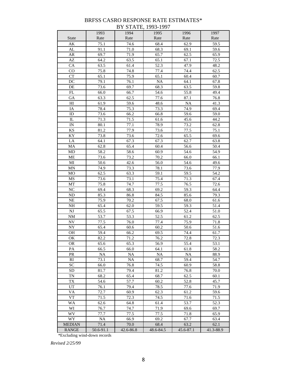| Rate<br><b>State</b><br>Rate<br>Rate<br>Rate<br>Rate<br>75.1<br>68.4<br>62.9<br>59.5<br>AK<br>74.6<br>91.1<br>71.0<br>68.3<br>69.1<br>59.6<br>AL<br>69.7<br>65.7<br>62.5<br>65.9<br>AR<br>71.9<br>AΖ<br>64.2<br>63.5<br>65.1<br>67.1<br>72.5<br>CA<br>52.3<br>63.5<br>61.4<br>47.9<br>48.2<br>CO<br>75.8<br>74.8<br>77.4<br>74.4<br>62.5<br>CT<br>65.1<br>75.9<br>65.1<br>60.4<br>60.7<br>DC<br>79.1<br>NA<br>67.8<br>76.1<br>64.1<br>59.8<br>73.6<br>63.5<br>DE<br>69.7<br>68.3<br>49.4<br>FL<br>66.0<br>66.7<br>54.6<br>55.8<br>63.3<br>62.5<br>77.6<br>GA<br>87.1<br>76.8<br>61.9<br>NA<br>H <sub>I</sub><br>59.6<br>48.6<br>41.3<br>IA<br>78.4<br>75.3<br>73.3<br>74.9<br>69.4<br>ID<br>73.6<br>66.2<br>59.6<br>59.0<br>66.8<br>IL<br>71.3<br>61.6<br>45.6<br>71.5<br>44.2<br>IN<br>80.1<br>77.1<br>78.9<br>73.2<br>62.8<br><b>KS</b><br>81.2<br>77.9<br>73.6<br>77.5<br>75.1<br>KY<br>73.8<br>73.6<br>72.6<br>69.6<br>65.5<br>LA<br>64.1<br>67.3<br>67.3<br>62.7<br>63.8<br>62.8<br>65.4<br>56.6<br>MA<br>60.4<br>50.4<br>58.2<br>54.6<br>54.9<br><b>MD</b><br>58.6<br>60.9<br>73.2<br>66.0<br>66.1<br><b>ME</b><br>73.6<br>70.2<br>50.6<br>42.6<br>56.0<br>54.6<br>49.6<br>MI<br><b>MN</b><br>74.9<br>73.6<br>77.9<br>73.3<br>78.1<br>62.5<br>59.1<br>59.5<br>54.2<br>MO<br>63.3<br>MS<br>73.6<br>73.1<br>75.4<br>71.3<br>67.4<br>75.8<br>74.7<br>77.5<br>76.5<br>72.6<br>МT<br>NC<br>69.4<br>68.3<br>69.2<br>59.3<br>64.4<br>85.3<br>79.3<br>ND<br>86.8<br>84.5<br>85.6<br>75.9<br><b>NE</b><br>70.2<br>67.5<br>68.0<br>61.6<br>59.5<br>59.3<br>51.4<br><b>NH</b><br>65.4<br>62.0<br>NJ<br>65.5<br>52.4<br>51.0<br>67.5<br>66.9<br>53.3<br>52.5<br>61.2<br>62.5<br><b>NM</b><br>53.7<br>$N\overline{V}$<br>77.5<br>76.0<br>77.4<br>75.9<br>71.8 |      |
|--------------------------------------------------------------------------------------------------------------------------------------------------------------------------------------------------------------------------------------------------------------------------------------------------------------------------------------------------------------------------------------------------------------------------------------------------------------------------------------------------------------------------------------------------------------------------------------------------------------------------------------------------------------------------------------------------------------------------------------------------------------------------------------------------------------------------------------------------------------------------------------------------------------------------------------------------------------------------------------------------------------------------------------------------------------------------------------------------------------------------------------------------------------------------------------------------------------------------------------------------------------------------------------------------------------------------------------------------------------------------------------------------------------------------------------------------------------------------------------------------------------------------------------------------------------------------------------------------------------------------------------------------------------------------------------------------------------------------------------------------------|------|
|                                                                                                                                                                                                                                                                                                                                                                                                                                                                                                                                                                                                                                                                                                                                                                                                                                                                                                                                                                                                                                                                                                                                                                                                                                                                                                                                                                                                                                                                                                                                                                                                                                                                                                                                                        |      |
|                                                                                                                                                                                                                                                                                                                                                                                                                                                                                                                                                                                                                                                                                                                                                                                                                                                                                                                                                                                                                                                                                                                                                                                                                                                                                                                                                                                                                                                                                                                                                                                                                                                                                                                                                        |      |
|                                                                                                                                                                                                                                                                                                                                                                                                                                                                                                                                                                                                                                                                                                                                                                                                                                                                                                                                                                                                                                                                                                                                                                                                                                                                                                                                                                                                                                                                                                                                                                                                                                                                                                                                                        |      |
|                                                                                                                                                                                                                                                                                                                                                                                                                                                                                                                                                                                                                                                                                                                                                                                                                                                                                                                                                                                                                                                                                                                                                                                                                                                                                                                                                                                                                                                                                                                                                                                                                                                                                                                                                        |      |
|                                                                                                                                                                                                                                                                                                                                                                                                                                                                                                                                                                                                                                                                                                                                                                                                                                                                                                                                                                                                                                                                                                                                                                                                                                                                                                                                                                                                                                                                                                                                                                                                                                                                                                                                                        |      |
|                                                                                                                                                                                                                                                                                                                                                                                                                                                                                                                                                                                                                                                                                                                                                                                                                                                                                                                                                                                                                                                                                                                                                                                                                                                                                                                                                                                                                                                                                                                                                                                                                                                                                                                                                        |      |
|                                                                                                                                                                                                                                                                                                                                                                                                                                                                                                                                                                                                                                                                                                                                                                                                                                                                                                                                                                                                                                                                                                                                                                                                                                                                                                                                                                                                                                                                                                                                                                                                                                                                                                                                                        |      |
|                                                                                                                                                                                                                                                                                                                                                                                                                                                                                                                                                                                                                                                                                                                                                                                                                                                                                                                                                                                                                                                                                                                                                                                                                                                                                                                                                                                                                                                                                                                                                                                                                                                                                                                                                        |      |
|                                                                                                                                                                                                                                                                                                                                                                                                                                                                                                                                                                                                                                                                                                                                                                                                                                                                                                                                                                                                                                                                                                                                                                                                                                                                                                                                                                                                                                                                                                                                                                                                                                                                                                                                                        |      |
|                                                                                                                                                                                                                                                                                                                                                                                                                                                                                                                                                                                                                                                                                                                                                                                                                                                                                                                                                                                                                                                                                                                                                                                                                                                                                                                                                                                                                                                                                                                                                                                                                                                                                                                                                        |      |
|                                                                                                                                                                                                                                                                                                                                                                                                                                                                                                                                                                                                                                                                                                                                                                                                                                                                                                                                                                                                                                                                                                                                                                                                                                                                                                                                                                                                                                                                                                                                                                                                                                                                                                                                                        |      |
|                                                                                                                                                                                                                                                                                                                                                                                                                                                                                                                                                                                                                                                                                                                                                                                                                                                                                                                                                                                                                                                                                                                                                                                                                                                                                                                                                                                                                                                                                                                                                                                                                                                                                                                                                        |      |
|                                                                                                                                                                                                                                                                                                                                                                                                                                                                                                                                                                                                                                                                                                                                                                                                                                                                                                                                                                                                                                                                                                                                                                                                                                                                                                                                                                                                                                                                                                                                                                                                                                                                                                                                                        |      |
|                                                                                                                                                                                                                                                                                                                                                                                                                                                                                                                                                                                                                                                                                                                                                                                                                                                                                                                                                                                                                                                                                                                                                                                                                                                                                                                                                                                                                                                                                                                                                                                                                                                                                                                                                        |      |
|                                                                                                                                                                                                                                                                                                                                                                                                                                                                                                                                                                                                                                                                                                                                                                                                                                                                                                                                                                                                                                                                                                                                                                                                                                                                                                                                                                                                                                                                                                                                                                                                                                                                                                                                                        |      |
|                                                                                                                                                                                                                                                                                                                                                                                                                                                                                                                                                                                                                                                                                                                                                                                                                                                                                                                                                                                                                                                                                                                                                                                                                                                                                                                                                                                                                                                                                                                                                                                                                                                                                                                                                        |      |
|                                                                                                                                                                                                                                                                                                                                                                                                                                                                                                                                                                                                                                                                                                                                                                                                                                                                                                                                                                                                                                                                                                                                                                                                                                                                                                                                                                                                                                                                                                                                                                                                                                                                                                                                                        |      |
|                                                                                                                                                                                                                                                                                                                                                                                                                                                                                                                                                                                                                                                                                                                                                                                                                                                                                                                                                                                                                                                                                                                                                                                                                                                                                                                                                                                                                                                                                                                                                                                                                                                                                                                                                        |      |
|                                                                                                                                                                                                                                                                                                                                                                                                                                                                                                                                                                                                                                                                                                                                                                                                                                                                                                                                                                                                                                                                                                                                                                                                                                                                                                                                                                                                                                                                                                                                                                                                                                                                                                                                                        |      |
|                                                                                                                                                                                                                                                                                                                                                                                                                                                                                                                                                                                                                                                                                                                                                                                                                                                                                                                                                                                                                                                                                                                                                                                                                                                                                                                                                                                                                                                                                                                                                                                                                                                                                                                                                        |      |
|                                                                                                                                                                                                                                                                                                                                                                                                                                                                                                                                                                                                                                                                                                                                                                                                                                                                                                                                                                                                                                                                                                                                                                                                                                                                                                                                                                                                                                                                                                                                                                                                                                                                                                                                                        |      |
|                                                                                                                                                                                                                                                                                                                                                                                                                                                                                                                                                                                                                                                                                                                                                                                                                                                                                                                                                                                                                                                                                                                                                                                                                                                                                                                                                                                                                                                                                                                                                                                                                                                                                                                                                        |      |
|                                                                                                                                                                                                                                                                                                                                                                                                                                                                                                                                                                                                                                                                                                                                                                                                                                                                                                                                                                                                                                                                                                                                                                                                                                                                                                                                                                                                                                                                                                                                                                                                                                                                                                                                                        |      |
|                                                                                                                                                                                                                                                                                                                                                                                                                                                                                                                                                                                                                                                                                                                                                                                                                                                                                                                                                                                                                                                                                                                                                                                                                                                                                                                                                                                                                                                                                                                                                                                                                                                                                                                                                        |      |
|                                                                                                                                                                                                                                                                                                                                                                                                                                                                                                                                                                                                                                                                                                                                                                                                                                                                                                                                                                                                                                                                                                                                                                                                                                                                                                                                                                                                                                                                                                                                                                                                                                                                                                                                                        |      |
|                                                                                                                                                                                                                                                                                                                                                                                                                                                                                                                                                                                                                                                                                                                                                                                                                                                                                                                                                                                                                                                                                                                                                                                                                                                                                                                                                                                                                                                                                                                                                                                                                                                                                                                                                        |      |
|                                                                                                                                                                                                                                                                                                                                                                                                                                                                                                                                                                                                                                                                                                                                                                                                                                                                                                                                                                                                                                                                                                                                                                                                                                                                                                                                                                                                                                                                                                                                                                                                                                                                                                                                                        |      |
|                                                                                                                                                                                                                                                                                                                                                                                                                                                                                                                                                                                                                                                                                                                                                                                                                                                                                                                                                                                                                                                                                                                                                                                                                                                                                                                                                                                                                                                                                                                                                                                                                                                                                                                                                        |      |
|                                                                                                                                                                                                                                                                                                                                                                                                                                                                                                                                                                                                                                                                                                                                                                                                                                                                                                                                                                                                                                                                                                                                                                                                                                                                                                                                                                                                                                                                                                                                                                                                                                                                                                                                                        |      |
|                                                                                                                                                                                                                                                                                                                                                                                                                                                                                                                                                                                                                                                                                                                                                                                                                                                                                                                                                                                                                                                                                                                                                                                                                                                                                                                                                                                                                                                                                                                                                                                                                                                                                                                                                        |      |
|                                                                                                                                                                                                                                                                                                                                                                                                                                                                                                                                                                                                                                                                                                                                                                                                                                                                                                                                                                                                                                                                                                                                                                                                                                                                                                                                                                                                                                                                                                                                                                                                                                                                                                                                                        |      |
|                                                                                                                                                                                                                                                                                                                                                                                                                                                                                                                                                                                                                                                                                                                                                                                                                                                                                                                                                                                                                                                                                                                                                                                                                                                                                                                                                                                                                                                                                                                                                                                                                                                                                                                                                        |      |
|                                                                                                                                                                                                                                                                                                                                                                                                                                                                                                                                                                                                                                                                                                                                                                                                                                                                                                                                                                                                                                                                                                                                                                                                                                                                                                                                                                                                                                                                                                                                                                                                                                                                                                                                                        |      |
|                                                                                                                                                                                                                                                                                                                                                                                                                                                                                                                                                                                                                                                                                                                                                                                                                                                                                                                                                                                                                                                                                                                                                                                                                                                                                                                                                                                                                                                                                                                                                                                                                                                                                                                                                        |      |
|                                                                                                                                                                                                                                                                                                                                                                                                                                                                                                                                                                                                                                                                                                                                                                                                                                                                                                                                                                                                                                                                                                                                                                                                                                                                                                                                                                                                                                                                                                                                                                                                                                                                                                                                                        |      |
|                                                                                                                                                                                                                                                                                                                                                                                                                                                                                                                                                                                                                                                                                                                                                                                                                                                                                                                                                                                                                                                                                                                                                                                                                                                                                                                                                                                                                                                                                                                                                                                                                                                                                                                                                        |      |
| ${\rm NY}$<br>65.4<br>60.6<br>60.2<br>50.6                                                                                                                                                                                                                                                                                                                                                                                                                                                                                                                                                                                                                                                                                                                                                                                                                                                                                                                                                                                                                                                                                                                                                                                                                                                                                                                                                                                                                                                                                                                                                                                                                                                                                                             | 51.6 |
| $\overline{59.4}$<br>74.4<br><b>OH</b><br>66.2<br>69.5<br>61.7                                                                                                                                                                                                                                                                                                                                                                                                                                                                                                                                                                                                                                                                                                                                                                                                                                                                                                                                                                                                                                                                                                                                                                                                                                                                                                                                                                                                                                                                                                                                                                                                                                                                                         |      |
| OK<br>82.2<br>76.2<br>72.8<br>72.3<br>71.2                                                                                                                                                                                                                                                                                                                                                                                                                                                                                                                                                                                                                                                                                                                                                                                                                                                                                                                                                                                                                                                                                                                                                                                                                                                                                                                                                                                                                                                                                                                                                                                                                                                                                                             |      |
| 65.3<br>56.9<br>55.4<br>53.1<br>OR<br>65.6                                                                                                                                                                                                                                                                                                                                                                                                                                                                                                                                                                                                                                                                                                                                                                                                                                                                                                                                                                                                                                                                                                                                                                                                                                                                                                                                                                                                                                                                                                                                                                                                                                                                                                             |      |
| PA<br>66.5<br>66.0<br>64.1<br>61.8<br>58.2                                                                                                                                                                                                                                                                                                                                                                                                                                                                                                                                                                                                                                                                                                                                                                                                                                                                                                                                                                                                                                                                                                                                                                                                                                                                                                                                                                                                                                                                                                                                                                                                                                                                                                             |      |
| PR<br>NA<br>NA.<br>NA.<br><b>NA</b><br>88.9                                                                                                                                                                                                                                                                                                                                                                                                                                                                                                                                                                                                                                                                                                                                                                                                                                                                                                                                                                                                                                                                                                                                                                                                                                                                                                                                                                                                                                                                                                                                                                                                                                                                                                            |      |
| NA<br>68.7<br>59.4<br>54.7<br>RI<br>73.1                                                                                                                                                                                                                                                                                                                                                                                                                                                                                                                                                                                                                                                                                                                                                                                                                                                                                                                                                                                                                                                                                                                                                                                                                                                                                                                                                                                                                                                                                                                                                                                                                                                                                                               |      |
| <b>SC</b><br>76.8<br>74.5<br>66.0<br>60.9<br>58.8                                                                                                                                                                                                                                                                                                                                                                                                                                                                                                                                                                                                                                                                                                                                                                                                                                                                                                                                                                                                                                                                                                                                                                                                                                                                                                                                                                                                                                                                                                                                                                                                                                                                                                      |      |
| 79.4<br>SD<br>81.7<br>81.2<br>76.8<br>70.0                                                                                                                                                                                                                                                                                                                                                                                                                                                                                                                                                                                                                                                                                                                                                                                                                                                                                                                                                                                                                                                                                                                                                                                                                                                                                                                                                                                                                                                                                                                                                                                                                                                                                                             |      |
| 68.2<br>65.4<br>68.7<br>62.5<br>TN<br>60.1                                                                                                                                                                                                                                                                                                                                                                                                                                                                                                                                                                                                                                                                                                                                                                                                                                                                                                                                                                                                                                                                                                                                                                                                                                                                                                                                                                                                                                                                                                                                                                                                                                                                                                             |      |
| 60.2<br>52.8<br>TX<br>54.6<br>57.7<br>45.7                                                                                                                                                                                                                                                                                                                                                                                                                                                                                                                                                                                                                                                                                                                                                                                                                                                                                                                                                                                                                                                                                                                                                                                                                                                                                                                                                                                                                                                                                                                                                                                                                                                                                                             |      |
| 76.1<br>79.4<br>78.5<br>77.6<br>71.9<br>UT                                                                                                                                                                                                                                                                                                                                                                                                                                                                                                                                                                                                                                                                                                                                                                                                                                                                                                                                                                                                                                                                                                                                                                                                                                                                                                                                                                                                                                                                                                                                                                                                                                                                                                             |      |
| VA<br>72.7<br>60.9<br>62.3<br>61.2<br>59.6                                                                                                                                                                                                                                                                                                                                                                                                                                                                                                                                                                                                                                                                                                                                                                                                                                                                                                                                                                                                                                                                                                                                                                                                                                                                                                                                                                                                                                                                                                                                                                                                                                                                                                             |      |
| <b>VT</b><br>72.3<br>71.5<br>74.5<br>71.6<br>71.5                                                                                                                                                                                                                                                                                                                                                                                                                                                                                                                                                                                                                                                                                                                                                                                                                                                                                                                                                                                                                                                                                                                                                                                                                                                                                                                                                                                                                                                                                                                                                                                                                                                                                                      |      |
| 53.7<br>WA<br>62.6<br>64.8<br>61.4<br>52.3                                                                                                                                                                                                                                                                                                                                                                                                                                                                                                                                                                                                                                                                                                                                                                                                                                                                                                                                                                                                                                                                                                                                                                                                                                                                                                                                                                                                                                                                                                                                                                                                                                                                                                             |      |
| 74.7<br>71.9<br>69.6<br>WI<br>76.7<br>69.7                                                                                                                                                                                                                                                                                                                                                                                                                                                                                                                                                                                                                                                                                                                                                                                                                                                                                                                                                                                                                                                                                                                                                                                                                                                                                                                                                                                                                                                                                                                                                                                                                                                                                                             |      |
| 77.5<br>WV<br>77.7<br>77.5<br>71.8<br>65.9                                                                                                                                                                                                                                                                                                                                                                                                                                                                                                                                                                                                                                                                                                                                                                                                                                                                                                                                                                                                                                                                                                                                                                                                                                                                                                                                                                                                                                                                                                                                                                                                                                                                                                             |      |
| WY<br>NA<br>66.9<br>69.2<br>67.7<br>63.4                                                                                                                                                                                                                                                                                                                                                                                                                                                                                                                                                                                                                                                                                                                                                                                                                                                                                                                                                                                                                                                                                                                                                                                                                                                                                                                                                                                                                                                                                                                                                                                                                                                                                                               |      |
| 70.0<br>63.2<br>62.1<br><b>MEDIAN</b><br>71.4<br>68.4                                                                                                                                                                                                                                                                                                                                                                                                                                                                                                                                                                                                                                                                                                                                                                                                                                                                                                                                                                                                                                                                                                                                                                                                                                                                                                                                                                                                                                                                                                                                                                                                                                                                                                  |      |
| <b>RANGE</b><br>50.6-91.1<br>42.6-86.8<br>48.6-84.5<br>45.6-87.1<br>41.3-88.9                                                                                                                                                                                                                                                                                                                                                                                                                                                                                                                                                                                                                                                                                                                                                                                                                                                                                                                                                                                                                                                                                                                                                                                                                                                                                                                                                                                                                                                                                                                                                                                                                                                                          |      |

# BRFSS CASRO RESPONSE RATE ESTIMATES\* BY STATE, 1993-1997

\*Excluding wind-down records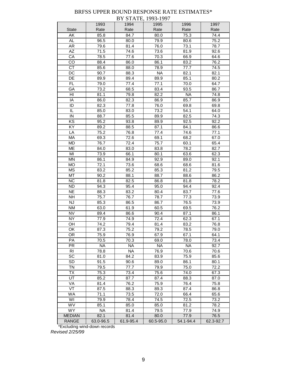## BRFSS UPPER BOUND RESPONSE RATE ESTIMATES\* BY STATE, 1993-1997

|                          | 1993      | 1994      | 1995      | 1996      | 1997          |
|--------------------------|-----------|-----------|-----------|-----------|---------------|
| <b>State</b>             | Rate      | Rate      | Rate      | Rate      | Rate          |
| AK                       | 85.8      | 84.7      | 80.0      | 75.3      | 74.4          |
| <b>AL</b>                | 96.5      | 80.0      | 79.9      | 80.6      | 75.2          |
| AR                       | 79.6      | 81.4      | 76.0      | 73.1      | 78.7          |
| $\overline{AZ}$          | 71.5      | 74.6      | 73.6      | 81.9      | 92.6          |
| CA                       | 78.5      | 77.6      | 70.3      | 66.9      | 64.6          |
| CO                       | 88.4      | 86.0      | 86.1      | 83.2      | 76.2          |
| СT                       | 85.6      | 88.0      | 78.9      | 77.7      | 74.5          |
| DC                       | 90.7      | 88.3      | <b>NA</b> | 82.1      | 82.1          |
| DE                       | 89.9      | 89.4      | 89.9      | 85.1      | 80.2          |
| FL.                      | 79.0      | 77.4      | 77.1      | 70.0      | 64.7          |
| GА                       | 73.2      | 68.5      | 83.4      | 93.5      | 86.7          |
| HI                       | 81.1      | 79.8      | 82.2      | <b>NA</b> | 74.8          |
| IA                       | 86.0      | 82.3      | 86.9      | 85.7      | 86.9          |
| ID                       | 82.3      | 77.8      | 76.0      | 69.8      | 69.8          |
| IL                       | 85.0      | 83.0      | 73.2      | 54.1      | 64.0          |
| IN                       | 88.7      | 85.5      | 89.9      | 82.5      | 74.3          |
| $\overline{\text{KS}}$   | 95.2      | 93.8      | 89.9      | 92.5      | 92.2          |
| KY                       | 89.2      | 88.5      | 87.1      | 84.1      | 86.6          |
| LA                       | 75.2      | 76.8      | 77.4      | 74.6      | 77.1          |
| MA                       | 69.3      | 72.6      | 69.1      | 68.2      | 67.0          |
| <b>MD</b>                | 76.7      | 72.4      | 75.7      | 60.1      | 65.4          |
| МE                       | 84.0      | 83.0      | 83.8      | 78.2      | 82.7          |
| MI                       | 73.9      | 66.1      | 80.1      | 63.6      | 62.3          |
| <b>MN</b>                | 86.1      | 84.9      | 92.9      | 89.0      | 92.1          |
| <b>MO</b>                | 72.1      | 73.6      | 68.6      | 68.6      | 81.6          |
| <b>MS</b>                | 83.2      | 85.2      | 85.3      | 81.2      | 79.5          |
| <b>MT</b>                | 90.2      | 88.1      | 88.7      | 88.6      | 86.2          |
| <b>NC</b>                | 81.8      | 82.5      | 86.8      | 81.8      | 78.2          |
| <b>ND</b>                | 94.3      | 95.4      | 95.0      | 94.4      | 92.4          |
| $\overline{\mathsf{NE}}$ | 88.3      | 83.2      | 80.4      | 83.7      | 77.6          |
| <b>NH</b>                | 75.7      | 76.7      | 78.7      | 77.3      | 73.9          |
| <b>NJ</b>                | 85.3      | 86.5      | 86.7      | 76.5      | 73.9          |
| <b>NM</b>                | 63.0      | 61.9      | 60.5      | 69.5      | 76.2          |
| <b>NV</b>                | 89.4      | 86.6      | 90.4      | 87.1      | 86.1          |
| <b>NY</b>                | 77.9      | 74.9      | 72.4      | 62.3      | 67.1          |
| OН                       | 74.2      | 79.4      | 81.4      | 83.2      | 76.8          |
| OK                       | 87.3      | 75.2      | 79.2      | 78.5      | 79.0          |
| OR                       | 75.9      | 76.9      | 67.9      | 67.1      | 64.1          |
| PA                       | 70.5      | 70.3      | 69.0      | 78.0      | 73.4          |
| <b>PR</b>                | <b>NA</b> | <b>NA</b> | <b>NA</b> | <b>NA</b> | 92.7          |
| <b>RI</b>                | 78.8      | <b>NA</b> | 76.9      | 70.6      | 70.6          |
| $\overline{SC}$          | 81.0      | 84.2      | 83.9      | 75.9      | 85.6          |
| SD                       | 91.5      | 90.6      | 89.0      | 86.1      | 80.1          |
| <b>TN</b>                | 79.5      | 77.7      | 79.9      | 75.0      | 72.2          |
| <b>TX</b>                | 75.3      | 73.4      | 75.6      | 74.0      | 67.3          |
| UT                       | 85.2      | 87.7      | 87.4      | 88.3      | 87.0          |
| VA                       | 81.4      | 76.2      | 75.9      | 76.4      | 75.8          |
| VT                       | 87.5      | 88.3      | 89.3      | 87.4      | 86.8          |
| WA                       | 71.1      | 73.5      | 72.0      | 66.4      | 65.6          |
| WI                       | 79.9      | 78.4      | 74.5      | 72.5      | 73.2          |
| WV                       | 85.1      | 85.0      | 85.0      | 81.2      | 78.2          |
| <b>WY</b>                | <b>NA</b> | 81.4      | 79.5      | 77.9      | 74.9          |
| <b>MEDIAN</b>            | 82.1      | 81.4      | 80.0      | 77.9      | 76.5          |
| <b>RANGE</b>             | 63.0-96.5 | 61.9-95.4 | 60.5-95.0 | 54.1-94.4 | $62.3 - 92.7$ |

\*Excluding wind-down records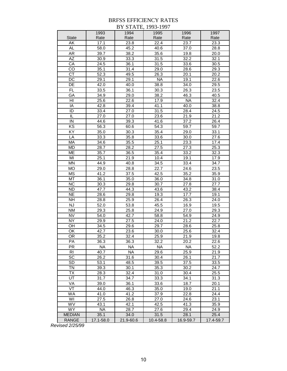#### BRFSS EFFICIENCY RATES BY STATE, 1993-1997

|               | 1993      | 1994              | 1995      | 1996      | 1997              |
|---------------|-----------|-------------------|-----------|-----------|-------------------|
|               |           |                   |           |           |                   |
| <b>State</b>  | Rate      | Rate              | Rate      | Rate      | Rate              |
| AΚ            | 17.1      | 23.8              | 22.4      | 23.7      | 23.3              |
| AL            | 58.0      | 45.2              | 40.6      | 37.0      | 28.8              |
| AR            | 39.7      | 38.2              | 35.6      | 19.8      | 20.0              |
| AZ            | 30.9      | 33.3              | 31.5      | 32.2      | 32.1              |
| CA            | 24.5      | 36.1              | 31.5      | 33.6      | 30.5              |
| CO            | 35.1      | 31.4              | 29.0      | 28.6      | 29.3              |
| СT            | 52.3      | 49.5              | 26.3      | 20.1      | 20.2              |
| DC            | 29.1      | 29.1              | <b>NA</b> | 19.1      | 22.6              |
| DE            | 42.0      | 40.0              | 38.8      | 34.0      | 29.5              |
| <b>FL</b>     |           |                   |           |           |                   |
|               | 33.5      | 36.1              | 30.3      | 26.3      | 23.5              |
| GA            | 34.9      | 29.0              | 38.2      | 46.3      | 40.5              |
| HI            | 25.6      | 22.6              | 17.9      | <b>NA</b> | 32.4              |
| IA            | 42.8      | 39.4              | 41.1      | 40.0      | 38.8              |
| ID            | 33.4      | 27.0              | 31.5      | 28.4      | 24.5              |
| IL            | 27.0      | 27.0              | 23.6      | 21.9      | 21.2              |
| IN            | 44.6      | 39.3              | 41.6      | 37.2      | $\overline{2}6.4$ |
| KS            | 56.3      | 60.6              | 54.3      | 59.7      | 59.7              |
| KY            | 35.0      | 30.3              | 35.4      | 29.0      | 33.1              |
| LA            | 33.3      | 35.8              | 33.6      | 30.0      | 27.6              |
| МA            | 34.6      | 35.5              | 25.1      | 23.3      | 17.4              |
|               |           |                   |           |           |                   |
| MD            | 28.7      | 28.2              | 27.5      | 27.3      | 25.3              |
| <b>ME</b>     | 35.7      | 36.5              | 35.4      | 33.2      | 32.3              |
| MI            | 25.1      | 21.9              | 10.4      | 19.1      | 17.9              |
| ΜN            | 44.9      | 40.8              | 34.5      | 33.4      | 34.7              |
| <b>MO</b>     | 29.0      | 28.8              | 22.7      | 24.6      | 23.5              |
| <b>MS</b>     | 41.2      | 37.5              | 42.5      | 35.2      | 35.9              |
| МT            | 36.1      | 35.0              | 36.0      | 34.8      | 31.0              |
| <b>NC</b>     | 30.3      | 29.8              | 30.7      | 27.8      | 27.7              |
| <b>ND</b>     | 47.7      | $\overline{4}4.3$ | 43.6      | 43.2      | 38.4              |
| <b>NE</b>     | 28.6      | 29.8              | 19.3      | 17.7      | 19.1              |
| <b>NH</b>     | 28.8      | 25.9              | 26.4      | 26.3      | 24.0              |
| <b>NJ</b>     | 52.0      | 53.8              | 45.5      | 16.9      | 19.5              |
|               |           |                   |           |           |                   |
| ΝM            | 29.3      | 25.8              | 24.9      | 27.0      | 29.3              |
| NV            | 54.0      | 42.7              | 58.8      | 54.9      | 24.9              |
| <b>NY</b>     | 29.9      | 27.5              | 24.0      | 21.2      | 22.7              |
| OH            | 34.5      | 29.6              | 29.7      | 28.6      | 25.8              |
| OK            | 42.7      | 23.6              | 30.0      | 25.6      | 32.4              |
| OR            | 35.2      | 32.4              | 25.9      | 21.9      | 19.8              |
| PA            | 36.3      | 36.3              | 32.2      | 20.2      | 22.6              |
| <b>PR</b>     | <b>NA</b> | <b>NA</b>         | <b>NA</b> | <b>NA</b> | 52.2              |
| RI            | 40.7      | <b>NA</b>         | 29.6      | 25.9      | 21.9              |
| SC            | 26.2      | 31.6              | 30.4      | 26.1      | 21.7              |
| <b>SD</b>     | 53.1      | 48.5              | 39.5      | 37.5      | 33.5              |
| TN            | 39.3      | 30.1              | 35.3      | 30.2      | 24.7              |
| ТX            | 28.3      | 32.4              | 31.0      | 30.4      | 25.5              |
|               |           |                   |           |           |                   |
| UT            | 31.7      | 34.7              | 33.3      | 34.1      | 31.3              |
| VA            | 39.0      | 36.1              | 33.6      | 18.7      | 20.1              |
| VT            | 44.0      | 46.3              | 35.0      | 19.0      | 21.1              |
| WA            | 41.0      | 41.2              | 37.9      | 22.8      | 24.4              |
| WI            | 27.5      | 26.8              | 27.0      | 24.6      | 23.1              |
| <b>WV</b>     | 43.1      | 42.1              | 42.5      | 41.3      | 35.9              |
| <b>WY</b>     | ΝA        | 28.7              | 27.6      | 29.4      | 24.9              |
| <b>MEDIAN</b> | 35.1      | 34.0              | 31.5      | 28.1      | 25.4              |
| <b>RANGE</b>  | 17.1-58.0 | $21.9 - 60.6$     | 10.4-58.8 | 16.9-59.7 | 17.4-59.7         |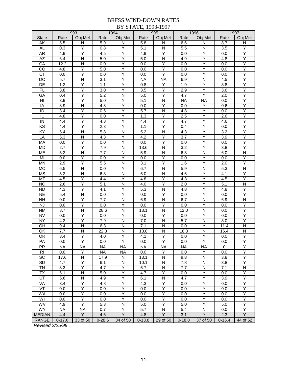#### BRFSS WIND-DOWN RATES BY STATE, 1993-1997

|                         |                  | 1993                    |                   | 1994                    |                  | 1995                    |                  | 1996                    |            | 1997                    |
|-------------------------|------------------|-------------------------|-------------------|-------------------------|------------------|-------------------------|------------------|-------------------------|------------|-------------------------|
| <b>State</b>            | Rate             | Obj Met                 | Rate              | Obj Met                 | Rate             | Obj Met                 | Rate             | Obj Met                 | Rate       | Obj Met                 |
| AK                      | 5.5              | N                       | 5.9               | N                       | 5.8              | $\mathsf{N}$            | 6.6              | N                       | 8.7        | N                       |
| AL                      | 0.3              | Y                       | 0.8               | Ÿ                       | $\overline{5.1}$ | $\overline{\mathsf{N}}$ | 5.5              | $\overline{N}$          | 3.5        | $\overline{\mathsf{Y}}$ |
| <b>AR</b>               | 4.9              | Y                       | 4.5               | Y                       | 4.9              | Y                       | 0.0              | Y                       | 0.0        | Y                       |
| $\overline{AZ}$         | 6.4              | Ñ                       | 5.0               | Υ                       | 6.0              | $\overline{\mathsf{N}}$ | 4.9              | Y                       | 4.8        | Ÿ                       |
| $\overline{CA}$         | 12.2             | N                       | 0.0               | Y                       | 0.0              | Y                       | 0.0              | Y                       | 0.0        | Ÿ                       |
| $\overline{C}$          | 4.8              | Y                       | 5.0               | Y                       | 0.0              | Y                       | 0.0              | $\overline{\mathsf{Y}}$ | 0.0        | $\overline{\mathsf{Y}}$ |
| $\overline{CT}$         | 0.0              | Ÿ                       | 0.0               | Ÿ                       | 0.0              | Ÿ                       | 0.0              | Ÿ                       | 0.0        | $\overline{\mathsf{Y}}$ |
| $\overline{DC}$         | $\overline{5.7}$ | Ñ                       | 3.1               | Ÿ                       | <b>NA</b>        | $\overline{NA}$         | 6.9              | $\overline{N}$          | 4.5        | Y                       |
| DE                      | 1.2              | Y                       | 1.1               | Ÿ                       | 0.8              | Y                       | 1.9              | $\overline{Y}$          | 3.8        | $\overline{Y}$          |
| <b>FL</b>               | 3.8              | Y                       | 3.0               | Y                       | 3.5              | Y                       | 2.9              | Y                       | 3.6        | Y                       |
| GA                      | 0.4              | Y                       | 5.2               | N                       | 5.0              | Υ                       | 4.7              | Y                       | 2.0        | Υ                       |
| $\overline{\mathsf{H}}$ | 3.9              | Ÿ                       | 5.0               | Y                       | 5.1              | N                       | <b>NA</b>        | <b>NA</b>               | 0.0        | Y                       |
|                         |                  |                         |                   | Y                       |                  |                         |                  |                         |            | $\overline{Y}$          |
| $\overline{IA}$         | 8.9              | ${\sf N}$               | 4.8               |                         | 0.0              | Y                       | 0.0              | Y                       | 0.6        | $\overline{\mathsf{Y}}$ |
| ID                      | 3.4              | Ÿ                       | 0.6               | Ÿ                       | 5.7              | $\overline{N}$          | 4.8              | Ÿ                       | 0.0        |                         |
| IL                      | 4.8              | Ÿ                       | 0.0               | Y                       | 1.3              | Ÿ                       | 2.5              | Ÿ                       | 2.6        | Y                       |
| IN                      | 4.4              | Ÿ                       | 4.8               | $\overline{\mathsf{Y}}$ | 4.4              | $\overline{\mathsf{Y}}$ | $\overline{4.7}$ | $\overline{Y}$          | 4.6        | $\overline{\mathsf{Y}}$ |
| KS                      | 4.4              | Y                       | 2.3               | Y                       | 1.1              | Υ                       | 0.4              | Y                       | 0.0        | Y                       |
| KY                      | 5.4              | N                       | $\overline{5.8}$  | N                       | 5.2              | ${\sf N}$               | 4.3              | Y                       | 3.2        | Y                       |
| LA                      | 5.3              | N                       | 4.3               | Υ                       | 4.2              | Υ                       | 3.7              | Y                       | 3.9        | Υ                       |
| MA                      | 0.0              | Ÿ                       | 0.0               | Ÿ                       | 0.0              | Ÿ                       | 0.0              | Y                       | 0.0        | $\overline{\mathsf{Y}}$ |
| <b>MD</b>               | 2.7              | Y                       | 7.9               | N                       | 13.6             | N                       | 3.2              | Ÿ                       | 3.8        | Ÿ                       |
| <b>ME</b>               | 5.2              | N                       | 7.7               | N                       | 5.9              | N                       | 6.3              | $\mathsf{N}$            | 6.0        | N                       |
| MI                      | 0.0              | Ÿ                       | 0.0               | Ÿ                       | 0.0              | Ÿ                       | 0.0              | $\overline{Y}$          | 0.0        | $\overline{\mathsf{Y}}$ |
| <b>MN</b>               | 2.9              | Y                       | 5.5               | N                       | 3.1              | Y                       | 1.6              | Ÿ                       | 2.0        | Ÿ                       |
| <b>MO</b>               | 6.5              | N                       | 0.0               | Y                       | 6.7              | $\mathsf{N}$            | 5.9              | ${\sf N}$               | 5.3        | N                       |
| <b>MS</b>               | 5.2              | Ν                       | 6.3               | N                       | 6.0              | ${\sf N}$               | 4.6              | Υ                       | 4.1        | Y                       |
| MT                      | 4.5              | Ÿ                       | 4.4               | Y                       | 4.8              | Y                       | 4.3              | Y                       | 4.5        | Ÿ                       |
| <b>NC</b>               | 2.6              | Y                       | 5.1               | N                       | 4.0              | Y                       | 2.0              | Y                       | 5.1        | N                       |
| $\overline{ND}$         | 4.3              | Ÿ                       | 4.1               | Y                       | $\overline{5.3}$ | $\overline{\mathsf{N}}$ | $\overline{4.8}$ | Y                       | 4.8        | Y                       |
| NE                      | 5.4              | $\overline{\mathsf{N}}$ | 0.0               | $\overline{\mathsf{Y}}$ | 0.0              | $\overline{\mathsf{Y}}$ | 0.0              | $\overline{\mathsf{Y}}$ | 0.0        | $\overline{\mathsf{Y}}$ |
| <b>NH</b>               | 0.0              | Y                       | 7.7               | $\overline{\mathsf{N}}$ | 6.9              | $\overline{N}$          | 6.7              | $\overline{N}$          | 6.9        | $\overline{\mathsf{N}}$ |
| <b>NJ</b>               | 0.0              | Y                       | 0.0               | Y                       | 0.0              | Υ                       | 0.0              | Y                       | 0.0        | Y                       |
| <b>NM</b>               | 8.7              | N                       | 28.6              | N                       | 13.1             | N                       | 12.0             | ${\sf N}$               | 0.0        | Y                       |
| <b>NV</b>               | 0.0              | Y                       | 0.0               | Y                       | 0.0              | Y                       | 0.0              | Y                       | 0.0        | Y                       |
| <b>NY</b>               | 4.2              | Y                       | 7.9               | N                       | 7.0              | N                       | 5.7              | ${\sf N}$               | 3.0        | Y                       |
| OH                      | 9.4              | $\overline{\mathsf{N}}$ | 6.3               | N                       | 7.1              | $\overline{\mathsf{N}}$ | 0.0              | Ÿ                       | 11.4       | $\overline{\mathsf{N}}$ |
| $\overline{\alpha}$     | 7.7              | Ñ                       | $\overline{22.3}$ | $\overline{\mathsf{N}}$ | 13.8             | $\overline{\mathsf{N}}$ | 18.8             | $\overline{\mathsf{N}}$ | 16.4       | $\overline{\mathsf{N}}$ |
| <b>OR</b>               | 3.4              | Y                       | 4.0               | Ÿ                       | 4.1              | Y                       | 0.0              | Y                       | 0.0        | Ÿ                       |
| PA                      | 0.0              | Y                       | 0.0               | Υ                       | 0.0              | Υ                       | 0.0              | Υ                       | 0.0        | Υ                       |
| <b>PR</b>               | NA               | <b>NA</b>               | <b>NA</b>         | <b>NA</b>               | <b>NA</b>        | <b>NA</b>               | NA               | <b>NA</b>               | 0          | Υ                       |
| R <sub>l</sub>          | 0.0              | Y                       | <b>NA</b>         | <b>NA</b>               | 0.0              | Υ                       | 0.0              | Υ                       | 0.0        | Y                       |
| SC                      | 17.6             | N                       | 17.9              | ${\sf N}$               | 13.1             | ${\sf N}$               | 9.8              | ${\sf N}$               | 3.8        | Υ                       |
| SD                      | 4.7              | Ÿ                       | 6.1               | ${\sf N}$               | 10.1             | $\mathsf{N}$            | 7.8              | ${\sf N}$               | 3.8        | Y                       |
| <b>TN</b>               | 3.3              | Υ                       | 4.7               | Υ                       | 6.7              | N                       | 7.7              | N                       | 7.1        | N                       |
| $\overline{TX}$         | 6.1              | N                       | 5.0               | Ÿ                       | 4.7              | Y                       | 0.0              | Y                       | 0.0        | Ÿ                       |
| UT                      | 5.6              | Ν                       | 4.9               | Υ                       | 6.1              | ${\sf N}$               | 4.7              | Υ                       | 3.9        | Υ                       |
| VA                      | 3.4              | Υ                       | 4.8               | Υ                       | 4.3              | Υ                       | 0.0              | Υ                       | 0.0        | Υ                       |
| $\overline{\nabla T}$   | 0.0              | Y                       | 0.0               | Y                       | 0.0              | Y                       | 0.0              | Y                       | 0.0        | Y                       |
| WA                      | 0.0              | Y                       | 0.0               | Υ                       | 0.0              | Y                       | 0.0              | Y                       | 0.0        | Υ                       |
| WI                      | 0.0              | Ÿ                       | 0.0               | Ÿ                       | 0.0              | Ÿ                       | 0.0              | Ÿ                       | 0.0        | Y                       |
| WV                      | 4.9              | Υ                       | 5.3               | N                       | 5.0              | Y                       | 5.0              | Y                       | 5.0        | Υ                       |
| <b>WY</b>               | <b>NA</b>        | <b>NA</b>               | 0.7               | Y                       | 5.7              | N                       | 5.4              | ${\sf N}$               |            | Y                       |
|                         |                  | Y                       |                   | $\overline{Y}$          |                  | $\overline{Y}$          |                  | $\overline{Y}$          | 0.0        | Y                       |
| <b>MEDIAN</b>           | 4.4              |                         | 4.6               |                         | 4.8              |                         | 3.1              |                         | 2.3        |                         |
| RANGE                   | $0-17.6$         | 33 of 50                | $0 - 28.6$        | 34 of 50                | $0 - 13.8$       | 29 of 50                | $0 - 18.8$       | 37 of 50                | $0 - 16.4$ | 44 of 52                |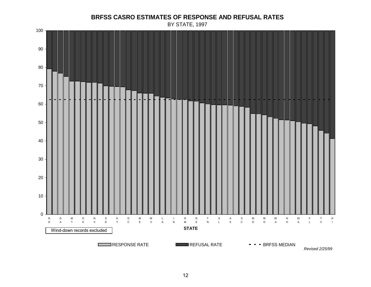#### **BRFSS CASRO ESTIMATES OF RESPONSE AND REFUSAL RATES**

BY STATE, 1997

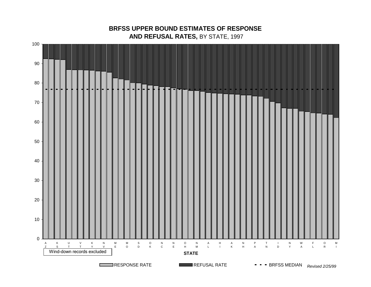

# **BRFSS UPPER BOUND ESTIMATES OF RESPONSE AND REFUSAL RATES,** BY STATE, 1997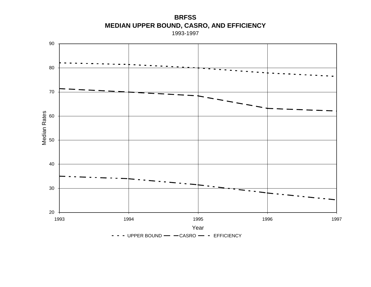**BRFSS MEDIAN UPPER BOUND, CASRO, AND EFFICIENCY**

1993-1997



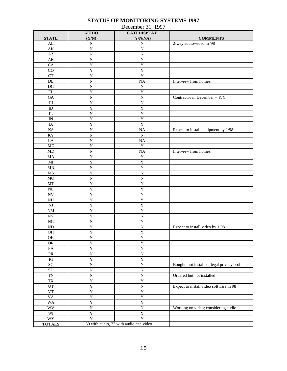#### **STATUS OF MONITORING SYSTEMS 1997**

|                            |                                  | December 31, 1997                      |                                               |
|----------------------------|----------------------------------|----------------------------------------|-----------------------------------------------|
|                            | <b>AUDIO</b>                     | <b>CATI DISPLAY</b>                    |                                               |
| <b>STATE</b>               | (Y/N)                            | (Y/N/NA)                               | <b>COMMENTS</b>                               |
| AL                         | $\overline{N}$                   | ${\bf N}$                              | 2-way audio/video in '98                      |
| $AK$                       | ${\bf N}$                        | ${\bf N}$                              |                                               |
| $\mathbf{A}\mathbf{Z}$     | ${\bf N}$                        | ${\bf N}$                              |                                               |
| ${\sf AR}$                 | ${\bf N}$                        | ${\bf N}$                              |                                               |
| CA                         | $\overline{\textbf{Y}}$          | $\overline{\textbf{Y}}$                |                                               |
| CO                         | $\mathbf Y$                      | $\overline{Y}$                         |                                               |
| CT                         | $\overline{Y}$                   | $\overline{Y}$                         |                                               |
| DE                         | $\overline{N}$                   | <b>NA</b>                              | Interview from homes.                         |
| $_{\mathrm{DC}}$           | $\overline{N}$                   | ${\bf N}$                              |                                               |
| FL                         | $\overline{\textbf{Y}}$          | $\overline{Y}$                         |                                               |
| GA                         | $\overline{N}$                   | $\overline{N}$                         | Contractor in December = $Y/Y$                |
| $\mathop{\rm HI}\nolimits$ | $\overline{\textbf{Y}}$          | $\overline{N}$                         |                                               |
|                            | $\overline{Y}$                   |                                        |                                               |
| $\rm ID$                   |                                  | $\overline{Y}$                         |                                               |
| $\hbox{I\!L}$              | $\mathbf N$                      | $\mathbf Y$                            |                                               |
| $\mathop{\rm IN}\nolimits$ | $\mathbf Y$                      | $\mathbf Y$                            |                                               |
| $\rm IA$                   | $\overline{Y}$                   | $\overline{Y}$                         |                                               |
| $\mathbf{K}\mathbf{S}$     | ${\bf N}$                        | <b>NA</b>                              | Expect to install equipment by 1/98           |
| KY                         | ${\bf N}$                        | ${\bf N}$                              |                                               |
| LA                         | $\overline{N}$                   | <b>NA</b>                              |                                               |
| ME                         | $\overline{N}$                   | $\overline{\mathbf{Y}}$                |                                               |
| $\mbox{MD}$                | ${\rm N}$                        | <b>NA</b>                              | Interview from homes.                         |
| $\overline{MA}$            | $\overline{Y}$                   | $\overline{Y}$                         |                                               |
| $\mathbf{M}\mathbf{I}$     | $\overline{Y}$                   | $\overline{\mathbf{Y}}$                |                                               |
| $\mbox{MN}$                | $\overline{N}$                   | $\overline{\textbf{Y}}$                |                                               |
| <b>MS</b>                  | Y                                | $\overline{N}$                         |                                               |
| MO                         | $\overline{N}$                   | ${\bf N}$                              |                                               |
| MT                         | $\mathbf Y$                      | ${\bf N}$                              |                                               |
| <b>NE</b>                  | $\overline{Y}$                   | $\mathbf Y$                            |                                               |
| $\ensuremath{\text{NV}}$   | $\mathbf Y$                      | ${\bf N}$                              |                                               |
| NH                         | $\mathbf Y$                      | $\mathbf Y$                            |                                               |
| $\mathbf{N}\mathbf{J}$     | $\overline{Y}$                   | $\overline{Y}$                         |                                               |
| $\rm{NM}$                  | $\mathbf Y$                      | ${\bf N}$                              |                                               |
| ${\rm NY}$                 | $\overline{\textbf{Y}}$          | ${\bf N}$                              |                                               |
| NC                         |                                  | ${\bf N}$                              |                                               |
|                            | $\overline{N}$<br>$\overline{Y}$ | $\overline{N}$                         |                                               |
| $\overline{ND}$            |                                  |                                        | Expect to install video by 1/98               |
| $\rm OH$                   | $\mathbf Y$                      | $\mathbf Y$                            |                                               |
| OK                         | ${\bf N}$                        | $\mathbf Y$                            |                                               |
| OR                         | $\overline{Y}$                   | $\overline{\textbf{Y}}$                |                                               |
| $\mathbf{PA}$              | $\mathbf Y$                      | $\overline{\mathbf{Y}}$                |                                               |
| ${\rm PR}$                 | ${\rm N}$                        | ${\bf N}$                              |                                               |
| $\mathbf{R}\mathbf{I}$     | $\overline{Y}$                   | $\overline{\mathbf{Y}}$                |                                               |
| ${\rm SC}$                 | ${\bf N}$                        | ${\bf N}$                              | Bought, not installed; legal privacy problems |
| ${\rm SD}$                 | ${\bf N}$                        | ${\bf N}$                              |                                               |
| $\mbox{T}\mbox{N}$         | ${\bf N}$                        | $\overline{\text{N}}$                  | Ordered but not installed                     |
| ${\rm T}{\rm X}$           | $\mathbf Y$                      | $\mathbf Y$                            |                                               |
| $_{\rm UT}$                | $\overline{\textbf{Y}}$          | ${\bf N}$                              | Expect to install video software in 98        |
| VT                         | $\overline{Y}$                   | $\overline{Y}$                         |                                               |
| $\overline{VA}$            | $\overline{\textbf{Y}}$          | $\overline{\textbf{Y}}$                |                                               |
| <b>WA</b>                  | $\overline{\mathbf{Y}}$          | $\overline{Y}$                         |                                               |
| <b>WV</b>                  | ${\bf N}$                        | $\overline{N}$                         | Working on video; considering audio.          |
| WI                         | $\mathbf Y$                      | $\mathbf Y$                            |                                               |
| WY                         | $\overline{Y}$                   | $\overline{Y}$                         |                                               |
| <b>TOTALS</b>              |                                  | 30 with audio, 22 with audio and video |                                               |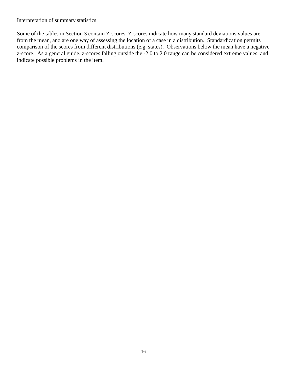#### Interpretation of summary statistics

Some of the tables in Section 3 contain Z-scores. Z-scores indicate how many standard deviations values are from the mean, and are one way of assessing the location of a case in a distribution. Standardization permits comparison of the scores from different distributions (e.g. states). Observations below the mean have a negative z-score. As a general guide, z-scores falling outside the -2.0 to 2.0 range can be considered extreme values, and indicate possible problems in the item.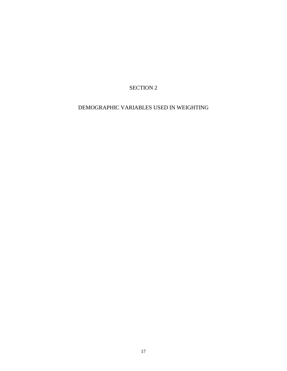SECTION 2

DEMOGRAPHIC VARIABLES USED IN WEIGHTING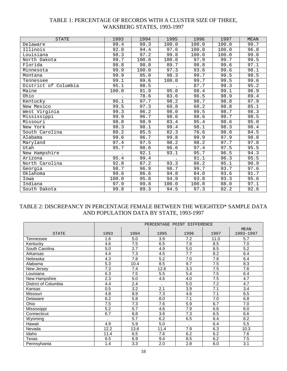## TABLE 1: PERCENTAGE OF RECORDS WITH A CLUSTER SIZE OF THREE, WAKSBERG STATES, 1993-1997

| <b>STATE</b>         | 1993  | 1994  | 1995  | 1996  | 1997              | MEAN |
|----------------------|-------|-------|-------|-------|-------------------|------|
| Delaware             | 99.4  | 99.3  | 100.0 | 100.0 | 100.0             | 99.7 |
| Illinois             | 92.0  | 94.4  | 97.6  | 100.0 | 100.0             | 96.8 |
| Louisiana            | 98.3  | 97.2  | 99.8  | 100.0 | 100.0             | 99.0 |
| North Dakota         | 99.7  | 100.0 | 100.0 | 97.9  | 99.7              | 99.5 |
| Florida              | 98.8  | 98.8  | 89.7  | 98.8  | 99.6              | 97.1 |
| Minnesota            | 99.9  | 100.0 | 97.3  | 93.6  | 99.6              | 98.1 |
| Montana              | 99.9  | 95.0  | 98.3  | 99.7  | 99.5              | 98.5 |
| Tennessee            | 99.1  | 99.6  | 100.0 | 99.7  | 99.5              | 99.6 |
| District of Columbia | 95.1  | 98.5  |       | 87.7  | 99.3              | 95.2 |
| Maine                | 100.0 | 91.9  | 95.0  | 98.4  | 99.1              | 96.9 |
| Ohio                 |       | 78.6  | 83.6  | 96.5  | 98.9              | 89.4 |
| Kentucky             | 96.1  | 97.7  | 98.2  | 98.7  | 98.8              | 97.9 |
| New Mexico           | 99.5  | 97.3  | 69.8  | 60.2  | 98.8              | 85.1 |
| West Virginia        | 99.3  | 96.2  | 98.0  | 99.5  | 98.7              | 98.3 |
| Mississippi          | 99.9  | 96.7  | 98.6  | 98.6  | 98.7              | 98.5 |
| Missouri             | 98.8  | 98.9  | 83.4  | 95.4  | 98.6              | 95.0 |
| New York             | 98.3  | 98.1  | 99.4  | 98.1  | $\overline{98.3}$ | 98.4 |
| South Carolina       | 80.2  | 85.5  | 82.3  | 76.6  | 98.0              | 84.5 |
| Alabama              | 99.6  | 96.7  | 99.8  | 99.9  | $\overline{9}7.9$ | 98.8 |
| Maryland             | 97.4  | 97.5  | 98.2  | 98.2  | 97.7              | 97.8 |
| Utah                 | 95.7  | 90.6  | 96.6  | 97.4  | 97.5              | 95.5 |
| New Hampshire        |       | 92.1  | 93.1  | 95.7  | 96.5              | 94.3 |
| Arizona              | 95.4  | 99.4  |       | 91.1  | 96.3              | 95.5 |
| North Carolina       | 92.8  | 87.2  | 93.3  | 86.2  | 95.1              | 90.9 |
| Georgia              | 98.7  | 96.9  | 98.7  | 99.7  | 93.7              | 97.6 |
| Oklahoma             | 99.6  | 86.6  | 94.8  | 84.0  | 93.6              | 91.7 |
| Iowa                 | 100.0 | 95.8  | 94.9  | 93.8  | 93.3              | 95.6 |
| Indiana              | 97.9  | 99.8  | 100.0 | 100.0 | 88.0              | 97.1 |
| South Dakota         | 99.8  | 89.3  | 94.5  | 97.3  | 82.2              | 92.6 |

#### TABLE 2: DISCREPANCY IN PERCENTAGE FEMALE BETWEEN THE WEIGHTED\* SAMPLE DATA AND POPULATION DATA BY STATE, 1993-1997

|                      |                |                  |      | PERCENTAGE POINT DIFFERENCE |      |             |
|----------------------|----------------|------------------|------|-----------------------------|------|-------------|
|                      |                |                  |      |                             |      | <b>MEAN</b> |
| <b>STATE</b>         | 1993           | 1994             | 1995 | 1996                        | 1997 | 1993-1997   |
| Tennessee            | 1.6            | 5.0              | 3.9  | 7.2                         | 11.0 | 5.7         |
| Kentucky             | 4.6            | 7.5              | 6.5  | 7.8                         | 8.5  | 7.0         |
| South Carolina       | 5.0            | 2.7              | 4.9  | 5.0                         | 8.5  | 5.2         |
| Arkansas             | 4.4            | 7.3              | 4.5  | 7.7                         | 8.2  | 6.4         |
| Nebraska             | 4.3            | $\overline{7.8}$ | 5.2  | 7.0                         | 7.8  | 6.4         |
| Alabama              | 5.3            | 10.4             | 8.5  | 9.7                         | 7.5  | 8.3         |
| New Jersey           | 7.3            | 7.4              | 12.6 | $\overline{3.3}$            | 7.5  | 7.6         |
| Louisiana            | 6.3            | 7.5              | 5.5  | 5.4                         | 7.5  | 6.4         |
| New Hampshire        | 2.3            | 5.0              | 4.6  | 4.0                         | 7.5  | 4.7         |
| District of Columbia | 4.4            | 2.4              |      | 5.0                         | 7.2  | 4.7         |
| Kansas               | 0.5            | 3.2              | 2.1  | 3.9                         | 7.1  | 3.4         |
| Missouri             | 4.8            | 8.9              | 7.3  | 4.6                         | 7.1  | 6.5         |
| Delaware             | 6.2            | 5.8              | 8.0  | 7.1                         | 7.0  | 6.8         |
| Ohio                 | 7.5            | 7.3              | 7.6  | 5.9                         | 6.7  | 7.0         |
| Mississippi          | 5.2            | 5.7              | 4.6  | 7.9                         | 6.6  | 6.0         |
| Connecticut          | 6.7            | 8.8              | 3.6  | 7.3                         | 6.5  | 6.6         |
| Wyoming              | $\blacksquare$ | 5.7              | 6.2  | 6.5                         | 6.4  | 6.2         |
| Hawaii               | 4.9            | 5.9              | 5.0  |                             | 6.4  | 5.5         |
| Nevada               | 12.2           | 13.6             | 11.4 | 7.9                         | 6.3  | 10.3        |
| Idaho                | 11.4           | 6.5              | 7.6  | 6.2                         | 6.2  | 7.6         |
| Texas                | 6.5            | 6.9              | 9.4  | 8.5                         | 6.2  | 7.5         |
| Pennsylvania         | 1.4            | 3.3              | 2.0  | $\overline{2.8}$            | 6.0  | 3.1         |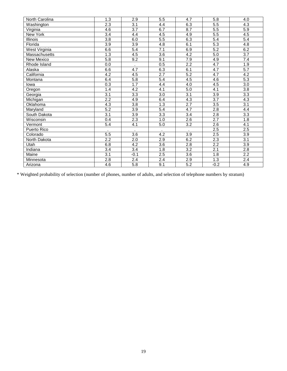| North Carolina       | 1.3              | 2.9              | 5.5              | 4.7              | 5.8              | 4.0              |
|----------------------|------------------|------------------|------------------|------------------|------------------|------------------|
| Washington           | 2.3              | 3.1              | 4.4              | 6.3              | $\overline{5.5}$ | 4.3              |
| Virginia             | 4.6              | 3.7              | 6.7              | 8.7              | 5.5              | 5.9              |
| New York             | 3.4              | 4.4              | 4.5              | 4.9              | $\overline{5.5}$ | 4.5              |
| <b>Illinois</b>      | $\overline{3.8}$ | 6.0              | 5.5              | 6.3              | 5.4              | 5.4              |
| Florida              | 3.9              | 3.9              | 4.8              | 6.1              | 5.3              | 4.8              |
| <b>West Virginia</b> | 6.6              | $\overline{5.4}$ | 7.1              | 6.9              | 5.2              | 6.2              |
| Massachusetts        | 1.3              | 4.5              | 3.6              | 4.2              | 5.0              | 3.7              |
| New Mexico           | 5.8              | 9.2              | 9.1              | 7.9              | 4.9              | 7.4              |
| Rhode Island         | 0.0              | $\cdot$          | 0.5              | 2.2              | 4.7              | 1.9              |
| Alaska               | 6.6              | $\overline{4.7}$ | 6.3              | 6.1              | 4.7              | $\overline{5.7}$ |
| California           | 4.2              | 4.5              | 2.7              | 5.2              | 4.7              | 4.2              |
| Montana              | 6.4              | 5.8              | 5.4              | 4.5              | 4.6              | 5.3              |
| lowa                 | 0.3              | 1.7              | 4.4              | 4.0              | 4.5              | $\overline{3.0}$ |
| Oregon               | 1.4              | 4.2              | 4.1              | 5.0              | 4.1              | $\overline{3.8}$ |
| Georgia              | 3.1              | 3.3              | 3.0              | $\overline{3.1}$ | 3.9              | $\overline{3.3}$ |
| Michigan             | 2.2              | 4.9              | 6.4              | 4.3              | 3.7              | 4.3              |
| Oklahoma             | 4.3              | 3.8              | 1.3              | 2.7              | 3.5              | $\overline{3.1}$ |
| Maryland             | $\overline{5.2}$ | 3.9              | $\overline{5.4}$ | 4.7              | 2.8              | 4.4              |
| South Dakota         | $\overline{3.1}$ | $\overline{3.9}$ | $\overline{3.3}$ | 3.4              | $\overline{2.8}$ | $\overline{3.3}$ |
| Wisconsin            | 0.4              | 2.3              | 1.0              | 2.6              | 2.7              | 1.8              |
| Vermont              | $\overline{5.4}$ | 4.1              | 5.0              | 3.2              | 2.6              | 4.1              |
| Puerto Rico          | $\cdot$          | $\bullet$        | $\sim$           | $\cdot$          | 2.5              | 2.5              |
| Colorado             | 5.5              | $\overline{3.6}$ | 4.2              | $\overline{3.9}$ | 2.5              | $\overline{3.9}$ |
| North Dakota         | 2.2              | 2.0              | 2.9              | 6.2              | 2.3              | 3.1              |
| Utah                 | 6.8              | 4.2              | $\overline{3.6}$ | 2.8              | 2.2              | $\overline{3.9}$ |
| Indiana              | 3.4              | 3.4              | 1.8              | $\overline{3.2}$ | 2.1              | 2.8              |
| Maine                | 3.1              | $-0.1$           | 2.5              | $\overline{3.6}$ | 1.8              | $\overline{2.2}$ |
| Minnesota            | 2.8              | 2.4              | 2.4              | 2.9              | 1.3              | 2.4              |
| Arizona              | 4.6              | 5.8              | 9.1              | 5.2              | $-0.2$           | 4.9              |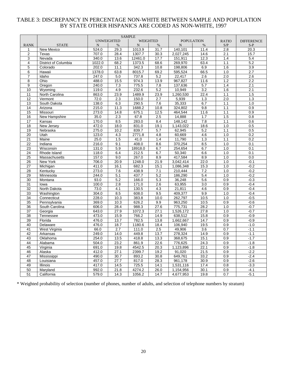#### TABLE 3: DISCREPANCY IN PERCENTAGE NON-WHITE BETWEEN SAMPLE AND POPULATION BY STATE OTHER HISPANICS ARE CODED AS NON-WHITE, 1997

|                 |                      | <b>SAMPLE</b>      |      |         |                 |                   |      |              |                   |
|-----------------|----------------------|--------------------|------|---------|-----------------|-------------------|------|--------------|-------------------|
|                 |                      | <b>UNWEIGHTED</b>  |      |         | <b>WEIGHTED</b> | <b>POPULATION</b> |      | <b>RATIO</b> | <b>DIFFERENCE</b> |
| <b>RANK</b>     | <b>STATE</b>         | N                  | %    | N       | %               | N                 | $\%$ | S/P          | $S-P$             |
|                 | <b>New Mexico</b>    | 524.0              | 29.3 | 1013.9  | 31.7            | 140.101           | 11.4 | 2.8          | 20.3              |
| $\overline{2}$  | Texas                | 707.0              | 28.4 | 1307.7  | 30.3            | 2,027,245         | 14.6 | 2.1          | 15.7              |
| 3               | Nevada               | 340.0              | 13.6 | 12461.0 | 17.7            | 151,911           | 12.3 | 1.4          | 5.4               |
| $\overline{4}$  | District of Columbia | 1022.0             | 68.2 | 1373.5  | 68.6            | 269,970           | 63.4 | 1.1          | 5.2               |
| 5               | Colorado             | 202.0              | 11.1 | 342.3   | 10.8            | 198,806           | 6.9  | 1.6          | 3.9               |
| 6               | Hawaii               | 1378.0             | 63.8 | 8015.7  | 69.2            | 595,524           | 66.5 | 1.0          | 2.7               |
| $\overline{7}$  | Idaho                | 247.0              | 5.0  | 737.8   | 5.2             | 22,417            | 2.6  | 2.0          | 2.6               |
| 8               | Ohio                 | 488.0              | 15.5 | 974.3   | 13.9            | 967,827           | 11.6 | 1.2          | 2.2               |
| 9               | Oregon               | 240.0              | 7.3  | 775.5   | 7.8             | 137,636           | 5.7  | 1.4          | 2.1               |
| 10              | Wyomina              | 119.0              | 4.9  | 232.6   | 5.2             | 10,949            | 3.2  | 1.6          | 2.1               |
| 11              | North Carolina       | 863.0              | 23.9 | 1489.9  | 23.9            | 1,260,530         | 22.4 | 1.1          | 1.5               |
|                 |                      |                    |      |         |                 |                   |      | 2.0          |                   |
| 12              | Vermont              | 72.0               | 2.3  | 150.0   | 2.7             | 5,939             | 1.3  |              | 1.3               |
| 13              | South Dakota         | 138.0              | 6.3  | 290.5   | 7.6             | 35,333            | 6.7  | 1.1          | 1.0               |
| 14              | Arizona              | 215.0              | 11.3 | 1688.2  | 10.8            | 324,802           | 9.8  | 1.1          | 0.9               |
| 15              | Missouri             | 273.0              | 14.8 | 675.1   | 12.5            | 464,544           | 11.6 | 1.1          | 0.9               |
| 16              | New Hampshire        | 35.0               | 2.3  | 67.8    | 2.5             | 14,888            | 1.7  | 1.5          | 0.8               |
| 17              | Kansas               | 170.0              | 8.5  | 283.0   | 8.4             | 148,142           | 7.8  | 1.1          | 0.6               |
| 18              | New Jersey           | 472.0              | 18.0 | 831.0   | 19.1            | 1,143,022         | 18.6 | 1.0          | 0.5               |
| 19              | Nebraska             | 275.0              | 10.2 | 839.7   | 5.7             | 62,945            | 5.2  | 1.1          | 0.5               |
| 20              | Utah                 | 123.0              | 4.3  | 2771.8  | 4.8             | 60,669            | 4.6  | 1.0          | 0.2               |
| 21              | Maine                | 25.0               | 1.5  | 41.0    | 1.4             | 11,790            | 1.3  | 1.1          | 0.2               |
| 22              | Indiana              | 216.0              | 9.1  | 408.0   | 8.6             | 370,254           | 8.5  | 1.0          | 0.1               |
| 23              | Wisconsin            | 131.0              | 5.9  | 18918.0 | 6.7             | 254,654           | 6.7  | 1.0          | 0.1               |
| 24              | Rhode Island         | 118.0              | 6.4  | 212.5   | 6.7             | 50.340            | 6.6  | 1.0          | 0.1               |
| 25              | Massachusetts        | 157.0              | 9.0  | 267.0   | 8.9             | 417,584           | 8.9  | 1.0          | 0.0               |
| 26              | New York             | 706.0              | 20.9 | 1248.0  | 21.9            | 3,042,414         | 22.0 | 1.0          | $-0.1$            |
| $\overline{27}$ | Michigan             | 411.0              | 16.1 | 682.3   | 15.1            | 1,086,348         | 15.3 | 1.0          | $-0.2$            |
| 28              | Kentucky             | $\overline{273.0}$ | 7.6  | 438.9   | 7.1             | 210,444           | 7.2  | 1.0          | $-0.2$            |
| 29              | Minnesota            | 244.0              | 5.1  | 437.7   | 5.2             | 186,290           | 5.4  | 1.0          | $-0.2$            |
| 30              | Montana              | 93.0               | 5.2  | 166.0   | 5.3             | 36,248            | 5.6  | 0.9          | $-0.3$            |
| 31              | lowa                 | 100.0              | 2.8  | 171.0   | 2.6             | 63,955            | 3.0  | 0.9          | $-0.4$            |
| 32              | North Dakota         | 73.0               | 4.1  | 130.5   | 4.3             | 21,811            | 4.6  | 0.9          | $-0.4$            |
| 33              | Washington           | 304.0              | 8.5  | 608.0   | 9.5             | 409,377           | 9.9  | 1.0          | $-0.4$            |
| 34              | Connecticut          | 228.0              | 10.3 | 383.8   | 10.0            | 262,797           | 10.5 | 1.0          | $-0.5$            |
| 35              | Pennsylvania         | 369.0              | 10.3 | 626.2   | 9.9             | 963,250           | 10.5 | 0.9          | $-0.6$            |
| 36              | South Carolina       | 606.0              | 28.4 | 988.3   | 27.6            | 775,731           | 28.2 | 1.0          | $-0.7$            |
| 37              | Georgia              | 643.0              | 27.9 | 1072.3  | 27.1            | 1,526,172         | 27.8 | 1.0          | $-0.7$            |
| 38              | Tennessee            | 473.0              | 15.9 | 766.2   | 14.9            | 638,512           | 15.8 | 0.9          | $-0.9$            |
| 39              | Florida              | 476.0              | 13.7 | 782.5   | 13.8            | 1,662,667         | 14.7 | 0.9          | $-0.9$            |
| 40              | Delaware             | 476.0              | 18.7 | 1180.6  | 18.4            | 106,940           | 19.5 | 0.9          | $-1.0$            |
| 41              | West Virginia        | 66.0               | 2.7  | 111.0   | 2.5             | 49,906            | 3.6  | 0.7          | $-1.1$            |
| 42              | Arkansas             | 249.0              | 14.0 | 449.8   | 13.7            | 278,324           | 14.9 | 0.9          | $-1.1$            |
| 43              | Oklahoma             | 254.0              | 13.5 | 418.8   | 13.3            | 368,675           | 15.1 | 0.9          | $-1.7$            |
| 44              | Alabama              | 504.0              | 23.2 | 861.9   | 22.6            | 776,625           | 24.3 | 0.9          | $-1.8$            |
| 45              | Virginia             | 691.0              | 19.8 | 4542.5  | 20.3            | 1,123,896         | 22.1 | 0.9          | $-1.8$            |
| 46              | Alaska               | 412.0              | 27.1 | 2399.7  | 19.2            | 91,020            | 21.5 | 0.9          | $-2.2$            |
| 47              | Mississippi          | 490.0              | 30.7 | 893.2   | 30.8            | 649,761           | 33.2 | 0.9          | $-2.4$            |
| 48              | Louisiana            | 457.0              | 27.7 | 817.0   | 28.3            | 961,178           | 30.9 | 0.9          | $-2.6$            |
| 49              | <b>Illinois</b>      | 417.0              | 14.5 | 725.5   | 14.1            | 1,531,116         | 17.4 | 0.8          | $-3.3$            |
| 50              | Maryland             | 992.0              | 21.8 | 4274.2  | 26.0            | 1,154,956         | 30.1 | 0.9          | $-4.1$            |
| 51              | California           | 579.0              | 14.3 | 1056.2  | 14.7            | 4,677,953         | 19.8 | 0.7          | $-5.1$            |
|                 |                      |                    |      |         |                 |                   |      |              |                   |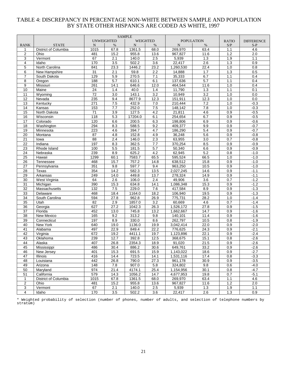#### TABLE 4: DISCREPANCY IN PERCENTAGE NON-WHITE BETWEEN SAMPLE AND POPULATION BY STATE OTHER HISPANICS ARE CODED AS WHITE, 1997

|                       | <b>SAMPLE</b>               |                   |            |                   |       |                   |                  |              |                   |
|-----------------------|-----------------------------|-------------------|------------|-------------------|-------|-------------------|------------------|--------------|-------------------|
|                       |                             | <b>UNWEIGHTED</b> |            | <b>WEIGHTED</b>   |       | <b>POPULATION</b> |                  | <b>RATIO</b> | <b>DIFFERENCE</b> |
| <b>RANK</b>           | <b>STATE</b>                | N                 | %          | N                 | %     | N                 | %                | S/P          | $S-P$             |
| 1                     | <b>District of Columbia</b> | 1015              | 67.8       | 1361.5            | 68.0  | 269,970           | 63.4             | 1.1          | 4.6               |
| $\overline{2}$        | Ohio                        | 481               | 15.2       | 955.8             | 13.6  | 967,827           | 11.6             | 1.2          | 2.0               |
| 3                     | Vermont                     | 67                | 2.1        | 140.0             | 2.5   | 5,939             | 1.3              | 1.9          | 1.1               |
| 4                     | Idaho                       | 170               | 3.5        | $\frac{1}{602.2}$ | 3.6   | 22,417            | 2.6              | 1.3          | 0.9               |
| 5                     | North Carolina              | 841               | 23.3       | 1446.2            | 23.2  | 1,260,530         | 22.4             | 1.0          | 0.8               |
| 6                     | New Hampshire               | 31                | 2.1        | 59.8              | 2.2   | 14,888            | 1.7              | 1.3          | 0.5               |
|                       |                             |                   |            |                   |       |                   |                  |              |                   |
| $\overline{7}$        | South Dakota                | 129               | 5.9<br>5.7 | 270.5             | 7.1   | 35,333            | 6.7<br>5.7       | 1.1          | 0.4               |
| 8                     | Oregon                      | 188               |            | 610.1             | 6.1   | 137,636           |                  | 1.1          | 0.4               |
| 9                     | Missouri                    | 261               | 14.1       | 646.6             | 12.0  | 464,544           | $\frac{11.6}{2}$ | 1.0          | 0.4               |
| 10                    | Maine                       | $\overline{24}$   | 1.4        | 40.0              | 1.4   | 11,790            | 1.3              | 1.1          | 0.1               |
| 11                    | Wyoming                     | 72                | 3.0        | 143.1             | 3.2   | 10,949            | 3.2              | 1.0          | 0.0               |
| 12                    | Nevada                      | 235               | 9.4        | 8677.9            | 12.3  | 151,911           | 12.3             | 1.0          | 0.0               |
| $\overline{13}$       | Kentucky                    | 271               | 7.5        | 432.9             | $7.0$ | 210,444           | 7.2              | 1.0          | $-0.3$            |
| 14                    | Kansas                      | 153               | 7.7        | 252.0             | 7.5   | 148,142           | 7.8              | 1.0          | $-0.3$            |
| 15                    | North Dakota                | 71                | 3.9        | 127.5             | 4.2   | 21,811            | 4.6              | 0.9          | $-0.5$            |
| 16                    | Wisconsin                   | 118               | 5.3        | 17204.0           | 6.1   | 254,654           | 6.7              | 0.9          | $-0.5$            |
| 17                    | Colorado                    | 120               | 6.6        | 200.5             | 6.3   | 198,806           | 6.9              | 0.9          | $-0.6$            |
| $\overline{18}$       | Washington                  | 294               | 8.3        | 588.5             | 9.2   | 409,377           | 9.9              | 0.9          | $-0.7$            |
| 19                    | Minnesota                   | 223               | 4.6        | 394.7             | 4.7   | 186,290           | 5.4              | 0.9          | $-0.7$            |
| 20                    | Montana                     | 87                | 4.8        | 152.8             | 4.9   | 36,248            | 5.6              | 0.9          | $-0.8$            |
| $\overline{21}$       | lowa                        | 88                | 2.4        | 146.0             | 2.3   | 63,955            | 3.0              | 0.7          | $-0.8$            |
| $\overline{22}$       | Indiana                     | 197               | 8.3        | 362.5             | 7.7   | 370,254           | 8.5              | 0.9          | $-0.9$            |
| 23                    | Rhode Island                | 100               | 5.5        | 181.5             | 5.7   | 50,340            | 6.6              | 0.9          | $-0.9$            |
| 24                    | Nebraska                    | 239               | 8.9        | 625.2             | 4.2   | 62,945            | 5.2              | 0.8          | $-1.0$            |
| 25                    | Hawaii                      | 1299              | 60.1       | 7583.7            | 65.5  | 595,524           | 66.5             | 1.0          | $-1.0$            |
| $\overline{26}$       | Tennessee                   | 468               | 15.7       | 757.2             | 14.8  | 638,512           | 15.8             | 0.9          | $-1.0$            |
| $\overline{27}$       | Pennsylvania                | 351               | 9.8        | 597.7             | 9.4   | 963,250           | 10.5             | 0.9          | $-1.0$            |
| 28                    | Texas                       | 354               | 14.2       | 582.3             | 13.5  | 2,027,245         | 14.6             | 0.9          | $-1.1$            |
| 29                    | Arkansas                    | 249               | 14.0       | 449.8             | 13.7  | 278,324           | 14.9             | 0.9          | $-1.1$            |
| 30                    | West Virginia               | 64                | 2.6        | 106.0             | 2.4   | 49,906            | 3.6              | 0.7          | $-1.2$            |
| 31                    | Michigan                    | 390               | 15.3       | 634.8             | 14.1  | 1,086,348         | 15.3             | 0.9          | $-1.2$            |
| $\overline{32}$       | Massachusetts               | 132               | 7.5        | 229.0             | 7.6   | 417,584           | 8.9              | 0.9          | $-1.3$            |
| 33                    | Delaware                    | 468               | 18.4       | 1164.0            | 18.2  | 106,940           | 19.5             | 0.9          | $-1.3$            |
| $\overline{34}$       | South Carolina              | 594               | 27.8       | 962.8             | 26.9  | 775,731           | 28.2             | 1.0          | $-1.4$            |
| 35                    | Utah                        | 82                | 2.9        | 1857.0            | 3.2   | 60,669            | 4.6              | 0.7          | $-1.4$            |
| $\overline{36}$       | Georgia                     | 627               | 27.2       | 1042.3            | 26.3  | 1,526,172         | 27.8             | 0.9          | $-1.5$            |
|                       | Florida                     |                   |            |                   |       |                   |                  |              |                   |
| $\overline{37}$<br>38 |                             | 452               | 13.0       | 745.8             | 13.2  | 1,662,667         | 14.7             | 0.9          | $-1.6$            |
|                       | New Mexico                  | 165               | 9.2        | 313.2             | 9.8   | 140,101           | 11.4             | 0.9          | $-1.6$            |
| 39                    | Connecticut                 | 197               | 8.9        | 330.0             | 8.6   | 262,797           | 10.5             | 0.8          | $-1.9$            |
| 40                    | <b>New York</b>             | 640               | 19.0       | 1136.0            | 19.9  | 3,042,414         | 22.0             | 0.9          | $-2.0$            |
| 41                    | Alabama                     | 497               | 22.9       | 849.4             | 22.2  | 776,625           | 24.3             | 0.9          | $-2.1$            |
| 42                    | Virginia                    | 672               | 19.2       | 4411.1            | 19.7  | 1,123,896         | 22.1             | 0.9          | $-2.4$            |
| 43                    | Oklahoma                    | 239               | 12.7       | 392.8             | 12.5  | 368,675           | 15.1             | 0.8          | $-2.6$            |
| 44                    | Alaska                      | 407               | 26.8       | 2354.3            | 18.9  | 91.020            | 21.5             | 0.9          | $-2.6$            |
| 45                    | Mississippi                 | 486               | 30.4       | 886.2             | 30.6  | 649,761           | 33.2             | 0.9          | $-2.6$            |
| 46                    | New Jersey                  | 401               | 15.3       | 691.5             | 15.9  | 1,143,022         | 18.6             | 0.9          | $-2.7$            |
| 47                    | <b>Illinois</b>             | 416               | 14.4       | 723.5             | 14.1  | 1,531,116         | 17.4             | 0.8          | $-3.3$            |
| 48                    | Louisiana                   | 442               | 26.8       | 790.0             | 27.3  | 961,178           | 30.9             | 0.9          | $-3.5$            |
| 49                    | Arizona                     | 148               | 7.8        | 907.0             | 5.8   | 324,802           | 9.8              | 0.6          | $-4.0$            |
| 50                    | Maryland                    | 974               | 21.4       | 4174.1            | 25.4  | 1,154,956         | 30.1             | 0.8          | $-4.7$            |
| 51                    | California                  | 579               | 14.3       | 1056.2            | 14.7  | 4,677,953         | 19.8             | 0.7          | $-5.1$            |
| 1                     | District of Columbia        | 1015              | 67.8       | 1361.5            | 68.0  | 269,970           | 63.4             | 1.1          | 4.6               |
| $\boldsymbol{2}$      | Ohio                        | 481               | 15.2       | 955.8             | 13.6  | 967,827           | 11.6             | 1.2          | 2.0               |
| 3                     | Vermont                     | 67                | 2.1        | 140.0             | 2.5   | 5,939             | 1.3              | 1.9          | 1.1               |
| 4                     | Idaho                       | 170               | 3.5        | 502.2             | 3.6   | 22,417            | 2.6              | 1.3          | 0.9               |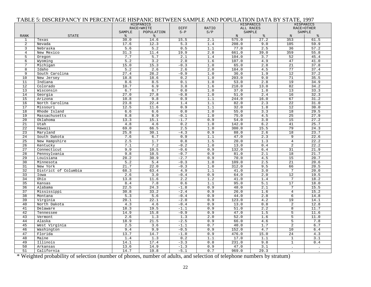|                 | TADLE 9. DISCRETATO I IN LERCENTAGE HISTANIC DET WEEN SAMI LE AND FOI OLATION DATA D'I STATE, 1777 |            | HISPANICS     |             |       | HISPANICS   |               | HISPANICS            |                   |
|-----------------|----------------------------------------------------------------------------------------------------|------------|---------------|-------------|-------|-------------|---------------|----------------------|-------------------|
|                 |                                                                                                    |            | RACE=WHITE    | <b>DIFF</b> | RATIO | ALL RACES   |               | RACE=OTHER           |                   |
|                 |                                                                                                    | SAMPLE     | POPULATION    | $S - P$     | S/P   | SAMPLE      |               | SAMPLE               |                   |
| <b>RANK</b>     | STATE                                                                                              | $\epsilon$ | $\frac{6}{6}$ |             |       | $\,$ N $\,$ | $\frac{8}{6}$ | $\,$ N               | ႜ                 |
| 1               | Texas                                                                                              | 30.0       | 14.6          | 15.5        | 2.1   | 575.0       | 27.2          | 353                  | 61.5              |
| 2               | Nevada                                                                                             | 17.6       | 12.3          | 5.3         | 1.4   | 208.0       | 9.0           | 105                  | 59.9              |
| $\overline{3}$  | Nebraska                                                                                           | 5.6        | 5.2           | 0.5         | 1.1   | 77.0        | 2.5           | 36                   | 57.2              |
| $\overline{4}$  | New Mexico                                                                                         | 31.3       | 11.4          | 19.9        | 2.8   | 661.0       | 39.0          | 359                  | 55.8              |
| $\overline{5}$  | Oregon                                                                                             | 7.7        | 5.7           | 2.1         | 1.4   | 104.0       | 3.7           | 52                   | 45.4              |
| 6               | Wyoming                                                                                            | 5.2        | 3.2           | 2.0         | 1.6   | 107.0       | 4.9           | 47                   | 41.0              |
| 7               | Michigan                                                                                           | 15.0       | 15.3          | $-0.3$      | $1.0$ | 65.0        | 2.8           | 21                   | 37.8              |
| 8               | Idaho                                                                                              | 5.2        | 2.6           | 2.6         | 2.0   | 184.0       | 4.5           | 77                   | 37.4              |
| 9               | South Carolina                                                                                     | 27.4       | 28.2          | $-0.9$      | 1.0   | 36.0        | 1.9           | 12                   | 37.2              |
| 10              | New Jersey                                                                                         | 18.8       | 18.6          | 0.2         | 1.0   | 203.0       | 9.0           | 71                   | 35.5              |
| 11              | Indiana                                                                                            | 8.6        | 8.5           | 0.1         | 1.0   | 53.0        | 2.8           | 19                   | 34.9              |
| 12              | Colorado                                                                                           | 10.7       | 6.9           | 3.8         | 1.6   | 218.0       | 13.0          | 82                   | 34.2              |
| 13              | Wisconsin                                                                                          | 6.7        | 6.7           | 0.0         | 1.0   | 37.0        | 1.8           | 13                   | 33.3              |
| 14              | Georgia                                                                                            | 27.0       | 27.8          | $-0.8$      | 1.0   | 51.0        | 2.4           | 16                   | 32.3              |
| 15              | Arizona                                                                                            | 10.8       | 9.8           | 0.9         | 1.1   | 244.0       | 16.0          | 67                   | 31.2              |
| 16              | North Carolina                                                                                     | 23.8       | 22.4          | 1.4         | 1.1   | 82.0        | 2.3           | 22                   | 31.0              |
| 17              | Missouri                                                                                           | 12.5       | 11.6          | 0.9         | 1.1   | 32.0        | 1.8           | 12                   | 30.0              |
| 18              | Rhode Island                                                                                       | 6.6        | 6.6           | 0.0         | $1.0$ | 55.0        | 3.3           | 18                   | 29.5              |
| 19              | Massachusetts                                                                                      | 8.8        | 8.9           | $-0.1$      | 1.0   | 75.0        | 4.5           | 25                   | 27.9              |
| 20              | Oklahoma                                                                                           | 13.3       | 15.1          | $-1.7$      | 0.9   | 54.0        | 3.0           | 15                   | 27.2              |
| 21              | Utah                                                                                               | 4.8        | 4.6           | 0.2         | $1.0$ | 142.0       | $6.2$         | 41                   | 25.7              |
| 22              | Hawaii                                                                                             | 69.0       | 66.5          | 2.5         | 1.0   | 300.0       | 15.5          | 79                   | 24.3              |
| 23              | Maryland                                                                                           | 25.8       | 30.1          | $-4.3$      | 0.9   | 88.0        | 2.6           | 18                   | 23.7              |
| 24              | South Dakota                                                                                       | 7.6        | 6.7           | 0.9         | 1.1   | 47.0        | 2.3           | 9                    | 22.6              |
| 25              | New Hampshire                                                                                      | 2.5        | 1.7           | 0.8         | 1.5   | 20.0        | 1.3           | 4                    | 22.2              |
| 26              | Kentucky                                                                                           | 7.1        | 7.2           | $-0.2$      | 1.0   | 13.0        | 0.4           | 2                    | 22.2              |
| $\overline{27}$ | Connecticut                                                                                        | 9.9        | 10.5          | $-0.6$      | 0.9   | 132.0       | 6.4           | 31                   | 21.9              |
| 28              | Pennsylvania                                                                                       | 9.8        | 10.5          | $-0.7$      | 0.9   | 81.0        | 2.1           | 18                   | 21.7              |
| 29              | Louisiana                                                                                          | 28.2       | 30.9          | $-2.7$      | 0.9   | 70.0        | 4.5           | 15                   | 20.7              |
| 30              | Minnesota                                                                                          | 5.2        | 5.4           | $-0.3$      | $1.0$ | 109.0       | 2.5           | 21                   | 20.6              |
| 31              | New York                                                                                           | 21.7       | 22.0          | $-0.3$      | 1.0   | 312.0       | 9.5           | 66                   | 20.5              |
| 32              | District of Columbia                                                                               | 68.3       | 63.4          | 4.9         | 1.1   | 41.0        | 3.0           | $7\phantom{.0}$      | 20.0              |
| 33              | Iowa                                                                                               | 2.6        | 3.0           | $-0.4$      | 0.9   | 64.0        | 2.0           | 12                   | 19.5              |
| 34              | Ohio                                                                                               | 13.8       | 11.6          | 2.2         | 1.2   | 41.0        | 1.4           | 7                    | 18.2              |
| 35              | Kansas                                                                                             | 8.4        | 7.8           | 0.6         | 1.1   | 95.0        | 5.1           | 17                   | 18.0              |
| 36              | Alabama                                                                                            | 22.5       | 24.3          | $-1.8$      | 0.9   | 48.0        | 2.1           | 7                    | 15.5              |
| 37              | Mississippi                                                                                        | 30.8       | 33.2          | $-2.4$      | 0.9   | 26.0        | 1.6           | 4                    | 15.2              |
| 38              | Montana                                                                                            | 5.3        | 5.6           | $-0.4$      | 0.9   | 44.0        | 2.8           | 6                    | 14.8              |
| 39              | Virginia                                                                                           | 20.1       | 22.1          | $-2.0$      | 0.9   | 123.0       | 4.2           | 19                   | 14.1              |
| 40              | North Dakota                                                                                       | 4.3        | 4.6           | $-0.4$      | 0.9   | 13.0        | 0.8           | 2                    | 12.8              |
| 41              | Delaware                                                                                           | 18.3       | 19.5          | $-1.1$      | 0.9   | 51.0        | 2.2           | 8                    | 11.7              |
| 42              | Tennessee                                                                                          | 14.9       | 15.8          | $-0.9$      | 0.9   | 47.0        | 1.5           | 5                    | 11.6              |
| 43              | Vermont                                                                                            | 2.6        | 1.3           | 1.3         | 2.0   | 52.0        | 1.6           | 5                    | $\overline{1}1.0$ |
| 44              | Alaska                                                                                             | 18.9       | 21.5          | $-2.5$      | 0.9   | 66.0        | 4.6           | 5                    | 7.8               |
| 45              | West Virginia                                                                                      | 2.5        | 3.6           | $-1.1$      | 0.7   | 40.0        | 1.7           | 2                    | 6.7               |
| 46              | Washington                                                                                         | 9.4        | 9.9           | $-0.5$      | 0.9   | 152.0       | 4.7           | 10                   | $6.4$             |
| 47              | Florida                                                                                            | 13.7       | 14.7          | $-1.0$      | 0.9   | 476.0       | 15.0          | 24                   | 4.3               |
| 48              | Maine                                                                                              | 1.4        | 1.3           | 0.2         | 1.1   | 17.0        | 1.1           | $\mathbf{1}$         | 3.1               |
| 49              | Illinois                                                                                           | 14.1       | 17.4          | $-3.3$      | 0.8   | 231.0       | 9.8           | $\mathbf{1}$         | 0.4               |
| 50              | Arkansas                                                                                           | 13.6       | 14.9          | $-1.3$      | 0.9   | 47.0        | 3.1           | $\bullet$            | $\sim$            |
| 51              | California                                                                                         | 14.7       | 19.8          | $-5.1$      | 0.7   | 969.0       | 29.3          | $\ddot{\phantom{a}}$ |                   |

#### TABLE 5: DISCREPANCY IN PERCENTAGE HISPANIC BETWEEN SAMPLE AND POPULATION DATA BY STATE, 1997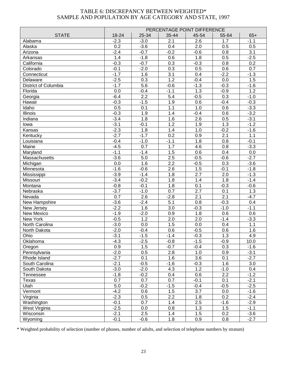#### TABLE 6: DISCREPANCY BETWEEN WEIGHTED\* SAMPLE AND POPULATION BY AGE CATEGORY AND STATE, 1997

|                      |        |                  | PERCENTAGE POINT DIFFERENCE |        |                  |        |
|----------------------|--------|------------------|-----------------------------|--------|------------------|--------|
| <b>STATE</b>         | 18-24  | 25-34            | 35-44                       | 45-54  | 55-64            | $65+$  |
| Alabama              | $-2.3$ | $-3.0$           | 2.1                         | 2.6    | 1.7              | $-1.1$ |
| Alaska               | 0.2    | $-3.6$           | 0.4                         | 2.0    | 0.5              | 0.5    |
| Arizona              | $-2.4$ | $-0.7$           | $-0.2$                      | $-0.6$ | 0.8              | 3.1    |
| Arkansas             | 1.4    | $-1.8$           | 0.6                         | 1.8    | 0.5              | $-2.5$ |
| California           | $-0.3$ | $-0.7$           | 0.3                         | $-0.3$ | 0.8              | 0.2    |
| Colorado             | $-0.1$ | $-2.0$           | 0.3                         | 0.5    | 0.6              | 0.7    |
| Connecticut          | $-1.7$ | 1.6              | $\overline{3.1}$            | 0.4    | $-2.2$           | $-1.3$ |
| Delaware             | $-2.5$ | 0.3              | 1.2                         | $-0.4$ | 0.0              | 1.5    |
| District of Columbia | $-1.7$ | $5.\overline{6}$ | $-0.6$                      | $-1.3$ | $-0.3$           | $-1.6$ |
| Florida              | 0.0    | $-0.4$           | $-1.1$                      | 1.3    | $-0.9$           | 1.2    |
| Georgia              | $-6.4$ | 2.2              | 5.4                         | $-0.5$ | 0.3              | $-1.0$ |
| Hawaii               | $-0.3$ | $-1.5$           | 1.9                         | 0.6    | $-0.4$           | $-0.3$ |
| Idaho                | 0.5    | 0.1              | 1.1                         | 1.0    | 0.6              | $-3.3$ |
| Illinois             | $-0.3$ | 1.9              | 1.4                         | $-0.4$ | 0.6              | $-3.2$ |
| Indiana              | $-3.4$ | 1.8              | 1.6                         | 2.6    | 0.5              | $-3.1$ |
| lowa                 | $-3.1$ | $-0.1$           | 1.2                         | 1.9    | 1.3              | $-1.2$ |
| Kansas               | $-2.3$ | 1.8              | 1.4                         | 1.0    | $-0.2$           | $-1.6$ |
| Kentucky             | $-2.7$ | $-1.7$           | 0.2                         | 0.9    | 2.1              | 1.1    |
| Louisiana            | $-0.4$ | $-1.0$           | $-1.1$                      | 1.8    | 0.8              | $-0.1$ |
| Maine                | $-4.5$ | 0.7              | 1.7                         | 4.6    | 0.8              | $-3.3$ |
| Maryland             | $-1.1$ | $-1.4$           | 1.5                         | 0.6    | 0.4              | 0.0    |
| Massachusetts        | $-3.6$ | 5.0              | 2.5                         | $-0.5$ | $-0.6$           | $-2.7$ |
| Michigan             | 0.0    | 1.6              | 2.2                         | $-0.5$ | 0.3              | $-3.6$ |
| Minnesota            | $-1.6$ | $-0.6$           | $\overline{2.6}$            | 1.5    | $-0.1$           | $-1.8$ |
| Mississippi          | $-3.9$ | $-1.4$           | 1.8                         | 2.7    | 2.0              | $-1.3$ |
| Missouri             | $-3.4$ | $-0.2$           | 1.8                         | 1.4    | 1.8              | $-1.4$ |
| Montana              | $-0.8$ | $-0.1$           | 1.8                         | 0.1    | $-0.3$           | $-0.6$ |
| Nebraska             | $-3.7$ | $-1.0$           | 0.7                         | 2.7    | 0.1              | 1.3    |
| Nevada               | 0.7    | 2.6              | $-2.8$                      | 2.1    | $\overline{2.1}$ | $-4.7$ |
| New Hampshire        | $-3.6$ | $-2.4$           | $\overline{5.1}$            | 0.8    | $-0.3$           | 0.4    |
| New Jersey           | $-2.2$ | 1.6              | 3.0                         | $-0.3$ | $-1.0$           | $-1.1$ |
| New Mexico           | $-1.9$ | $-2.0$           | 0.9                         | 1.8    | 0.6              | 0.6    |
| New York             | $-0.5$ | 1.2              | 2.0                         | 2.0    | $-1.4$           | $-3.3$ |
| North Carolina       | $-3.0$ | 0.0              | 1.5                         | 0.0    | 0.4              | 1.1    |
| North Dakota         | $-2.0$ | $-0.4$           | 0.6                         | $-0.5$ | 0.6              | 1.6    |
| Ohio                 | $-3.1$ | $-1.5$           | $-1.4$                      | $-0.3$ | 1.3              | 4.9    |
| Oklahoma             | $-4.3$ | $-2.5$           | $-0.8$                      | $-1.5$ | $-0.9$           | 10.0   |
| Oregon               | 0.9    | 1.5              | $-0.7$                      | $-0.4$ | 0.3              | $-1.6$ |
| Pennsylvania         | $-2.0$ | 0.5              | 2.8                         | 1.0    | 0.9              | $-3.1$ |
| Rhode Island         | $-2.7$ | 0.1              | 1.6                         | 3.6    | 0.1              | $-2.7$ |
| South Carolina       | $-2.1$ | $-0.5$           | $-1.6$                      | $-0.3$ | 1.6              | 3.0    |
| South Dakota         | $-3.0$ | $-2.0$           | 4.3                         | 1.2    | $-1.0$           | 0.4    |
| Tennessee            | $-1.8$ | $-0.2$           | 0.4                         | 0.6    | 2.2              | $-1.2$ |
| Texas                | 0.7    | 0.7              | 0.7                         | $-0.1$ | 0.1              | $-2.1$ |
| Utah                 | 5.0    | $-0.2$           |                             | $-0.4$ |                  |        |
|                      | $-4.2$ | 0.6              | $-1.5$<br>1.5               | 3.7    | $-0.5$           | $-2.5$ |
| Vermont<br>Virginia  |        | 0.5              | 2.2                         |        | 0.0<br>0.2       | $-1.6$ |
|                      | $-2.3$ |                  |                             | 1.8    |                  | $-2.4$ |
| Washington           | $-0.1$ | 0.7              | 1.4                         | 2.5    | $-1.6$           | $-2.9$ |
| West Virginia        | $-2.5$ | 0.0              | 0.8                         | 1.3    | 1.5              | $-1.1$ |
| Wisconsin            | $-2.1$ | 2.5              | 1.4                         | 1.5    | 0.2              | $-3.6$ |
| Wyoming              | $-0.1$ | $-0.6$           | 1.8                         | 0.9    | 0.8              | $-2.7$ |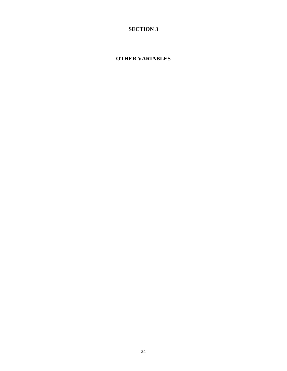**SECTION 3**

**OTHER VARIABLES**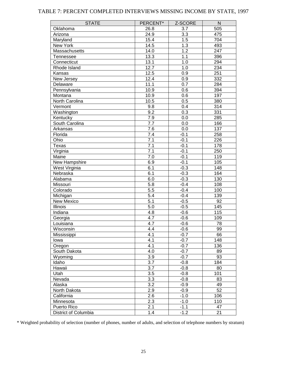# TABLE 7: PERCENT COMPLETED INTERVIEWS MISSING INCOME BY STATE, 1997

| <b>STATE</b>         | PERCENT*         | Z-SCORE          | N   |
|----------------------|------------------|------------------|-----|
| Oklahoma             | 26.8             | 3.7              | 505 |
| Arizona              | 24.9             | $\overline{3.3}$ | 475 |
| Maryland             | 15.4             | 1.5              | 704 |
| New York             | 14.5             | 1.3              | 493 |
| Massachusetts        | 14.0             | $1.\overline{2}$ | 247 |
| Tennessee            | 13.3             | 1.1              | 396 |
| Connecticut          | 13.1             | 1.0              | 294 |
| Rhode Island         | 12.7             | 1.0              | 234 |
| Kansas               | 12.5             | 0.9              | 251 |
| New Jersey           | 12.4             | 0.9              | 332 |
| Delaware             | 11.1             | 0.7              | 284 |
| Pennsylvania         | 10.9             | 0.6              | 394 |
| Montana              | 10.9             | 0.6              | 197 |
| North Carolina       | 10.5             | 0.5              | 380 |
| Vermont              | 9.8              | 0.4              | 314 |
| Washington           | 9.2              | $\overline{0.3}$ | 331 |
| Kentucky             | 7.9              | 0.0              | 285 |
| South Carolina       | $\overline{7.7}$ | 0.0              | 166 |
| Arkansas             | 7.6              | 0.0              | 137 |
| Florida              | 7.4              | $-0.1$           | 258 |
| Ohio                 | 7.1              | $-0.1$           | 226 |
|                      | 7.1              |                  |     |
| Texas                |                  | $-0.1$           | 178 |
| Virginia             | 7.1              | $-0.1$           | 250 |
| Maine                | 7.0              | $-0.1$           | 119 |
| New Hampshire        | 6.9              | $-0.1$           | 105 |
| West Virginia        | 6.1              | $-0.3$           | 148 |
| Nebraska             | 6.1              | $-0.3$           | 164 |
| Alabama              | 6.0              | $-0.3$           | 130 |
| Missouri             | $\overline{5.8}$ | $-0.4$           | 108 |
| Colorado             | $5.\overline{5}$ | $-0.4$           | 100 |
| Michigan             | 5.4              | $-0.4$           | 139 |
| New Mexico           | $\overline{5.1}$ | $-0.5$           | 92  |
| Illinois             | $\overline{5.0}$ | $-0.5$           | 145 |
| Indiana              | 4.8              | $-0.6$           | 115 |
| Georgia              | 4.7              | $-0.6$           | 109 |
| Louisiana            | 4.7              | $-0.6$           | 78  |
| Wisconsin            | 4.4              | $-0.6$           | 99  |
| Mississippi          | 4.1              | $-0.7$           | 66  |
| lowa                 | 4.1              | $-0.7$           | 148 |
| Oregon               | 4.1              | $-0.7$           | 136 |
| South Dakota         | 4.0              | $-0.7$           | 89  |
| Wyoming              | 3.9              | $-0.7$           | 93  |
| Idaho                | 3.7              | $-0.8$           | 184 |
| Hawaii               | 3.7              | $-0.8$           | 80  |
| Utah                 | 3.5              | $-0.8$           | 101 |
| Nevada               | 3.3              | $-0.8$           | 83  |
| Alaska               | 3.2              | $-0.9$           | 49  |
| North Dakota         | 2.9              | $-0.9$           | 52  |
| California           | 2.6              | $-1.0$           | 106 |
| Minnesota            | 2.3              | $-1.0$           | 110 |
| Puerto Rico          | 2.1              | $-1.1$           | 47  |
| District of Columbia | 1.4              | $-1.2$           | 21  |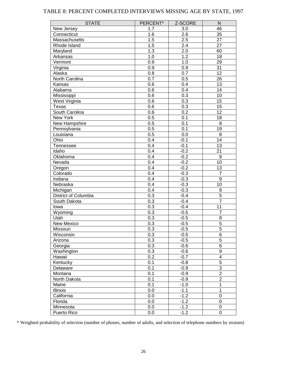# TABLE 8: PERCENT COMPLETED INTERVIEWS MISSING AGE BY STATE, 1997

| <b>STATE</b>         | PERCENT*         | Z-SCORE          | N                |
|----------------------|------------------|------------------|------------------|
| New Jersey           | 1.7              | 3.0              | 46               |
| Connecticut          | 1.6              | $\overline{2.6}$ | $\overline{35}$  |
| Massachusetts        | 1.5              | $\overline{2.5}$ | $\overline{27}$  |
| Rhode Island         | 1.5              | 2.4              | $\overline{27}$  |
| Maryland             | 1.3              | 2.0              | 60               |
| Arkansas             | 1.0              | 1.2              | 18               |
| Vermont              | 0.9              | 1.0              | 29               |
| Virginia             | 0.9              | 0.9              | $\overline{31}$  |
| Alaska               | 0.8              | 0.7              | $\overline{12}$  |
| North Carolina       | 0.7              | 0.5              | $\overline{26}$  |
| Kansas               | 0.6              | 0.4              | 13               |
| Alabama              | 0.6              | 0.4              | $\overline{14}$  |
| Mississippi          | 0.6              | 0.3              | 10               |
| West Virginia        | 0.6              | 0.3              | 15               |
| Texas                | 0.6              | 0.3              | $\overline{15}$  |
| South Carolina       | 0.6              | 0.2              | $\overline{12}$  |
| New York             | 0.5              | 0.1              | 18               |
| <b>New Hampshire</b> | 0.5              | 0.1              | 8                |
| Pennsylvania         | 0.5              | 0.1              | 19               |
| Louisiana            | 0.5              | 0.0              | 8                |
| Ohio                 | 0.4              | $-0.1$           | $\overline{14}$  |
| Tennessee            | 0.4              | $-0.1$           | 13               |
| Idaho                | 0.4              | $-0.2$           | 21               |
| Oklahoma             | 0.4              | $-0.2$           | 8                |
| Nevada               | 0.4              | $-0.2$           | 10               |
| Oregon               | 0.4              | $-0.2$           | 13               |
| Colorado             | $\overline{0.4}$ | $-0.3$           | $\overline{7}$   |
| Indiana              | $\overline{0.4}$ | $-0.3$           | $\overline{9}$   |
| Nebraska             | $\overline{0.4}$ | $-0.3$           | $\overline{10}$  |
| Michigan             | 0.4              | $-0.3$           | $\boldsymbol{9}$ |
| District of Columbia | 0.3              | $-0.4$           | $\overline{5}$   |
| South Dakota         | 0.3              | $-0.4$           | $\overline{7}$   |
| lowa                 | 0.3              | $-0.4$           | 11               |
| Wyoming              | 0.3              | $-0.5$           | $\overline{7}$   |
| Utah                 | 0.3              | $-0.5$           | $\overline{8}$   |
| New Mexico           | 0.3              | $-0.5$           | $\overline{5}$   |
| Missouri             | $0.\overline{3}$ | $-0.5$           | $\overline{5}$   |
| Wisconsin            | 0.3              | $-0.5$           | 6                |
| Arizona              | 0.3              | $-0.5$           | $\overline{5}$   |
| Georgia              | 0.3              | $-0.6$           | $\overline{6}$   |
| Washington           | 0.3              | $-0.6$           | $\overline{9}$   |
| Hawaii               | 0.2              | $-0.7$           | 4                |
| Kentucky             | 0.1              | $-0.8$           | $\overline{5}$   |
| Delaware             | 0.1              | $-0.9$           | $\overline{3}$   |
| Montana              | 0.1              | $-0.9$           | $\overline{2}$   |
| North Dakota         | 0.1              | $-0.9$           | $\overline{2}$   |
| Maine                | 0.1              | $-1.0$           | $\overline{1}$   |
| Illinois             | 0.0              | $-1.1$           | $\overline{1}$   |
| California           | 0.0              | $-1.2$           | 0                |
| Florida              | 0.0              | $-1.2$           | 0                |
| Minnesota            |                  | $-1.2$           | 0                |
| Puerto Rico          | 0.0<br>0.0       | $-1.2$           | $\overline{0}$   |
|                      |                  |                  |                  |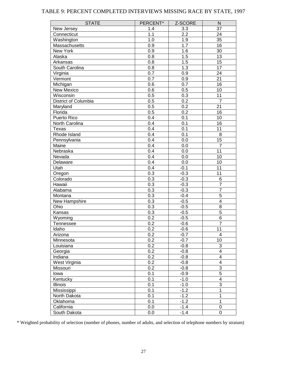# TABLE 9: PERCENT COMPLETED INTERVIEWS MISSING RACE BY STATE, 1997

| <b>STATE</b>         | PERCENT*         | Z-SCORE          | N                       |
|----------------------|------------------|------------------|-------------------------|
| New Jersey           | 1.4              | 3.3              | 37                      |
| Connecticut          | 1.1              | $\overline{2.2}$ | $\overline{24}$         |
| Washington           | 1.0              | $\overline{1.9}$ | $\overline{35}$         |
| Massachusetts        | 0.9              | 1.7              | 16                      |
| <b>New York</b>      | 0.9              | 1.6              | 30                      |
| Alaska               | 0.8              | 1.5              | 13                      |
| Arkansas             | 0.8              | 1.5              | 15                      |
| South Carolina       | 0.8              | 1.3              | $\overline{17}$         |
| Virginia             | 0.7              | $\overline{0.9}$ | $\overline{24}$         |
| Vermont              | 0.7              | $\overline{0.9}$ | $\overline{21}$         |
| Michigan             | 0.6              | 0.7              | 16                      |
| New Mexico           | 0.6              | 0.5              | 10                      |
| Wisconsin            | 0.5              | 0.3              | $\overline{11}$         |
| District of Columbia | 0.5              | 0.2              | $\overline{7}$          |
| Maryland             | 0.5              | $\overline{0.2}$ | $\overline{21}$         |
| Florida              | 0.5              | 0.2              | 16                      |
| Puerto Rico          | 0.4              | 0.1              | 10                      |
| North Carolina       | 0.4              | 0.1              | 16                      |
| Texas                | 0.4              | 0.1              | 11                      |
| Rhode Island         | 0.4              | 0.1              | 8                       |
| Pennsylvania         | 0.4              | 0.0              | 15                      |
| Maine                | 0.4              | 0.0              | $\overline{7}$          |
| Nebraska             | 0.4              | 0.0              | 11                      |
| Nevada               | 0.4              | 0.0              | 10                      |
| Delaware             | 0.4              | 0.0              | 10                      |
| Utah                 | 0.4              | $-0.1$           | 11                      |
| Oregon               | $\overline{0.3}$ | $-0.3$           | $\overline{11}$         |
| Colorado             | $\overline{0.3}$ | $-0.3$           | 6                       |
| Hawaii               | 0.3              | $-0.3$           | $\overline{7}$          |
| Alabama              | 0.3              | $-0.3$           | $\overline{7}$          |
| Montana              | 0.3              | $-0.4$           | $\overline{5}$          |
| New Hampshire        | 0.3              | $-0.5$           | 4                       |
| Ohio                 | 0.3              | $-0.5$           | 8                       |
| Kansas               | 0.3              | $-0.5$           | $\overline{5}$          |
| Wyoming              | $\overline{0.2}$ | $-0.5$           | $\overline{6}$          |
| <b>Tennessee</b>     | 0.2              | $-0.6$           | $\overline{7}$          |
| Idaho                | $0.\overline{2}$ | $-0.6$           | 11                      |
| Arizona              | 0.2              | $-0.7$           | $\overline{4}$          |
| Minnesota            | 0.2              | $-0.7$           | 10                      |
| Louisiana            | 0.2              | $-0.8$           | 3                       |
| Georgia              | 0.2              | $-0.8$           | $\overline{\mathbf{4}}$ |
| Indiana              | 0.2              | $-0.8$           | 4                       |
| West Virginia        | 0.2              | $-0.8$           | 4                       |
| Missouri             | 0.2              | $-0.8$           | $\overline{3}$          |
| lowa                 | 0.1              | $-0.9$           | $\overline{5}$          |
| Kentucky             | 0.1              | $-1.0$           | $\overline{4}$          |
| Illinois             | 0.1              | $-1.0$           | $\overline{3}$          |
|                      |                  |                  | $\overline{1}$          |
| Mississippi          | 0.1              | $-1.2$           | 1                       |
| North Dakota         | 0.1              | $-1.2$           | 1                       |
| Oklahoma             | 0.1              | $-1.2$           |                         |
| California           | 0.0              | $-1.4$           | 0                       |
| South Dakota         | 0.0              | $-1.4$           | $\overline{0}$          |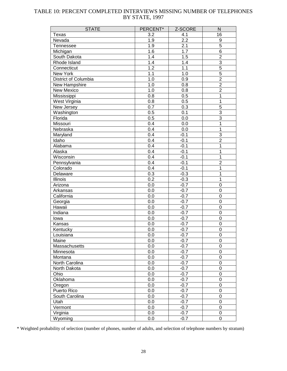#### TABLE 10: PERCENT COMPLETED INTERVIEWS MISSING NUMBER OF TELEPHONES BY STATE, 1997

| <b>STATE</b>         | PERCENT*         | Z-SCORE          | $\mathsf{N}$   |
|----------------------|------------------|------------------|----------------|
| <b>Texas</b>         | $\overline{3.2}$ | 4.1              | 16             |
| Nevada               | 1.9              | $\overline{2.2}$ | $\overline{9}$ |
| Tennessee            | 1.9              | 2.1              | $\overline{5}$ |
| Michigan             | 1.6              | 1.7              | $\overline{6}$ |
| South Dakota         | 1.4              | 1.5              | $\overline{2}$ |
| Rhode Island         | 1.4              | 1.4              | $\overline{3}$ |
| Connecticut          | $\overline{1.2}$ | 1.1              | $\overline{5}$ |
| New York             | 1.1              | 1.0              | $\overline{5}$ |
| District of Columbia | 1.0              | $\overline{0.9}$ | $\overline{2}$ |
| New Hampshire        | 1.0              | 0.8              | $\overline{2}$ |
| <b>New Mexico</b>    | 1.0              | 0.8              | $\overline{2}$ |
| Mississippi          | 0.8              | 0.5              | $\mathbf 1$    |
| West Virginia        | 0.8              | 0.5              | $\overline{1}$ |
| New Jersey           | 0.7              | 0.3              | 5              |
| Washington           | 0.5              | $\overline{0.1}$ | $\overline{3}$ |
| Florida              | 0.5              | 0.0              | $\overline{3}$ |
| Missouri             | $0.\overline{4}$ | 0.0              | $\overline{1}$ |
| Nebraska             | 0.4              | 0.0              | 1              |
| Maryland             | 0.4              | $-0.1$           | $\overline{3}$ |
| Idaho                | $\overline{0.4}$ | $-0.1$           | $\overline{2}$ |
| Alabama              | 0.4              | $-0.1$           | 1              |
| Alaska               | 0.4              | $-0.1$           | 1              |
| Wisconsin            | 0.4              | $-0.1$           | 1              |
| Pennsylvania         | 0.4              | $-0.1$           | $\overline{2}$ |
| Colorado             | 0.4              | $-0.1$           | $\mathbf 1$    |
| Delaware             | 0.3              | $-0.3$           | $\overline{1}$ |
| Illinois             | 0.2              | $-0.3$           | $\overline{1}$ |
| Arizona              | 0.0              | $-0.7$           | $\mathbf 0$    |
| Arkansas             | 0.0              | $-0.7$           | $\mathbf 0$    |
| California           | 0.0              | $-0.7$           | $\mathbf 0$    |
| Georgia              | 0.0              | $-0.7$           | 0              |
| Hawaii               | 0.0              | $-0.7$           | 0              |
| Indiana              | 0.0              | $-0.7$           | 0              |
| lowa                 | 0.0              | $-0.7$           | 0              |
| Kansas               | 0.0              | $-0.7$           | 0              |
| Kentucky             | 0.0              | $-0.7$           | 0              |
| Louisiana            | 0.0              | $-0.7$           | 0              |
| Maine                | 0.0              | $-0.7$           | 0              |
| Massachusetts        | 0.0              | $-0.7$           | 0              |
| Minnesota            | 0.0              | $-0.7$           | 0              |
| Montana              | 0.0              | $-0.7$           | 0              |
| North Carolina       | 0.0              | $-0.7$           | 0              |
| North Dakota         | 0.0              | $-0.7$           | 0              |
| Ohio                 | 0.0              | $-0.7$           | $\mathbf 0$    |
| Oklahoma             | 0.0              | $-0.7$           | $\overline{0}$ |
| Oregon               | 0.0              | $-0.7$           | $\overline{0}$ |
| Puerto Rico          | 0.0              | $-0.7$           | $\mathbf 0$    |
| South Carolina       | 0.0              | $-0.7$           | 0              |
| Utah                 | 0.0              | $-0.7$           | 0              |
| Vermont              | 0.0              | $-0.7$           | $\mathbf 0$    |
| Virginia             | 0.0              | $-0.7$           | $\overline{0}$ |
| Wyoming              | 0.0              | $-0.7$           | 0              |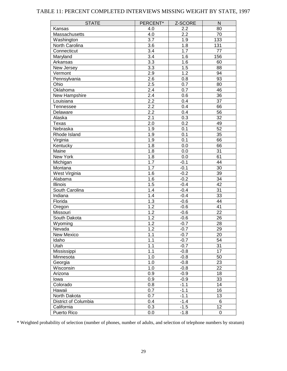# TABLE 11: PERCENT COMPLETED INTERVIEWS MISSING WEIGHT BY STATE, 1997

| <b>STATE</b>         | PERCENT*         | Z-SCORE          | N               |
|----------------------|------------------|------------------|-----------------|
| Kansas               | 4.0              | 2.2              | 80              |
| Massachusetts        | 4.0              | $\overline{2.2}$ | 70              |
| Washington           | 3.7              | 1.9              | 133             |
| North Carolina       | $\overline{3.6}$ | 1.8              | 131             |
| Connecticut          | 3.4              | 1.7              | 77              |
| Maryland             | 3.4              | 1.6              | 156             |
| Arkansas             | 3.3              | 1.6              | 60              |
| New Jersey           | 3.3              | 1.5              | 88              |
| Vermont              | 2.9              | 1.2              | 94              |
| Pennsylvania         | $\overline{2.6}$ | 0.8              | 93              |
| Ohio                 | 2.5              | 0.7              | 80              |
| Oklahoma             | 2.4              | 0.7              | 46              |
| New Hampshire        | 2.4              | 0.6              | 36              |
| Louisiana            | 2.2              | 0.4              | 37              |
| Tennessee            | $\overline{2.2}$ | 0.4              | 66              |
| Delaware             | $\overline{2.2}$ | 0.4              | 56              |
| Alaska               | 2.1              | 0.3              | 32              |
| Texas                | 2.0              | $\overline{0.2}$ | 49              |
| Nebraska             | 1.9              | 0.1              | $\overline{52}$ |
| Rhode Island         | 1.9              | 0.1              | 35              |
| Virginia             | 1.9              | 0.1              | 66              |
| Kentucky             | 1.8              | 0.0              | 66              |
| Maine                | 1.8              | 0.0              | 31              |
| New York             | 1.8              | $0.\overline{0}$ | $\overline{61}$ |
| Michigan             | 1.7              | $-0.1$           | $\overline{44}$ |
| Montana              | 1.7              | $-0.1$           | 30              |
| West Virginia        | 1.6              | $-0.2$           | $\overline{39}$ |
| Alabama              | 1.6              | $-0.2$           | $\overline{34}$ |
| <b>Illinois</b>      | 1.5              | $-0.4$           | 42              |
| South Carolina       | 1.4              | $-0.4$           | 31              |
| Indiana              | 1.4              | $-0.4$           | 33              |
| Florida              | 1.3              | $-0.6$           | 44              |
| Oregon               | 1.2              | $-0.6$           | 41              |
| Missouri             | 1.2              | $-0.6$           | $\overline{22}$ |
| South Dakota         | 1.2              | $-0.6$           | $\overline{26}$ |
| Wyoming              | $\overline{1.2}$ | $-0.7$           | 28              |
| Nevada               | 1.2              | $-0.7$           | $\overline{29}$ |
| New Mexico           | 1.1              | $-0.7$           | 20              |
| Idaho                | 1.1              | $-0.7$           | 54              |
| Utah                 | 1.1              | $-0.7$           | $\overline{31}$ |
| Mississippi          | 1.1              | $-0.8$           | 17              |
| Minnesota            | 1.0              | $-0.8$           | 50              |
| Georgia              | 1.0              | $-0.8$           | 23              |
| Wisconsin            | 1.0              | $-0.8$           | 22              |
| Arizona              | 0.9              | $-0.9$           | 18              |
| lowa                 | 0.9              | $-0.9$           | 33              |
| Colorado             | 0.8              | $-1.1$           | 14              |
| Hawaii               | 0.7              | $-1.1$           | 16              |
| North Dakota         | 0.7              | $-1.1$           | 13              |
| District of Columbia | 0.4              | $-1.4$           | 6               |
| California           | 0.3              | $-1.5$           | 12              |
| Puerto Rico          | 0.0              | $-1.8$           | 0               |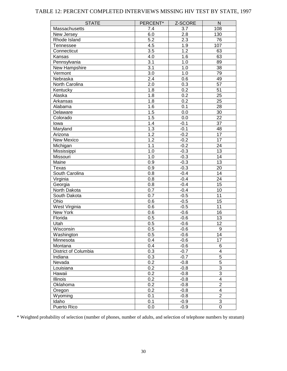# TABLE 12: PERCENT COMPLETED INTERVIEWS MISSING HIV TEST BY STATE, 1997

| <b>STATE</b>         | PERCENT*         | Z-SCORE           | $\mathsf{N}$            |
|----------------------|------------------|-------------------|-------------------------|
| Massachusetts        | 7.4              | 3.7               | 108                     |
| New Jersey           | 6.0              | 2.8               | 130                     |
| Rhode Island         | 5.2              | 2.3               | $\overline{76}$         |
| Tennessee            | 4.5              | 1.9               | 107                     |
| Connecticut          | 3.5              | 1.2               | 63                      |
| Kansas               | 4.0              | 1.6               | 63                      |
| Pennsylvania         | 3.1              | 1.0               | 89                      |
| New Hampshire        | 3.1              | 1.0               | 38                      |
| Vermont              | $\overline{3.0}$ | 1.0               | 79                      |
| Nebraska             | $\overline{2.4}$ | 0.6               | 49                      |
| North Carolina       | 2.0              | 0.3               | 57                      |
| Kentucky             | 1.8              | 0.2               | $\overline{51}$         |
| Alaska               | 1.8              | 0.2               | $\overline{25}$         |
| Arkansas             | 1.8              | 0.2               | 25                      |
| Alabama              | 1.6              | 0.1               | $\overline{28}$         |
| Delaware             | 1.5              | 0.0               | $\overline{30}$         |
| Colorado             | 1.5              | 0.0               | 22                      |
| lowa                 | 1.4              | $-0.1$            | $\overline{37}$         |
| Maryland             | 1.3              | $-0.1$            | 48                      |
| Arizona              | 1.2              | $-0.2$            | 17                      |
| New Mexico           | 1.2              | $-0.2$            | $\overline{17}$         |
| Michigan             | 1.1              | $-0.2$            | $\overline{24}$         |
| Mississippi          | 1.0              | $-0.3$            | 13                      |
| Missouri             | 1.0              | $-0.3$            | 14                      |
| Maine                | 0.9              | $-0.3$            | 13                      |
| Texas                | $0.\overline{9}$ | $-0.\overline{3}$ | 20                      |
| South Carolina       | 0.8              | $-0.4$            | 14                      |
| Virginia             | 0.8              | $-0.4$            | $\overline{24}$         |
| Georgia              | 0.8              | $-0.4$            | $\overline{15}$         |
| North Dakota         | 0.7              | $-0.4$            | 10                      |
| South Dakota         | $\overline{0.7}$ | $-0.5$            | 11                      |
| Ohio                 | 0.6              | $-0.5$            | 15                      |
| West Virginia        | 0.6              | $-0.5$            | 11                      |
| New York             | 0.6              | $-0.6$            | 16                      |
| Florida              | 0.5              | $-0.6$            | 13                      |
| Utah                 | 0.5              | $-0.6$            | 12                      |
| Wisconsin            | 0.5              | $-0.6$            | $\overline{9}$          |
| Washington           | 0.5              | $-0.6$            | 14                      |
| Minnesota            | 0.4              | $-0.6$            | 17                      |
| Montana              | 0.4              | $-0.6$            | 6                       |
| District of Columbia | 0.3              | $-0.7$            | 4                       |
| Indiana              | 0.3              | $-0.7$            | 5                       |
| Nevada               | 0.2              | $-0.8$            | $\overline{5}$          |
| Louisiana            | 0.2              | $-0.8$            | 3                       |
| Hawaii               | 0.2              | $-0.8$            | $\overline{3}$          |
| Illinois             | 0.2              | $-0.8$            | $\overline{\mathbf{4}}$ |
| Oklahoma             | 0.2              | $-0.8$            | $\overline{2}$          |
| Oregon               | 0.2              | $-0.8$            | 4                       |
| Wyoming              | 0.1              | $-0.8$            | $\overline{2}$          |
| Idaho                | 0.1              | $-0.9$            | $\overline{3}$          |
| Puerto Rico          | 0.0              | $-0.9$            | 0                       |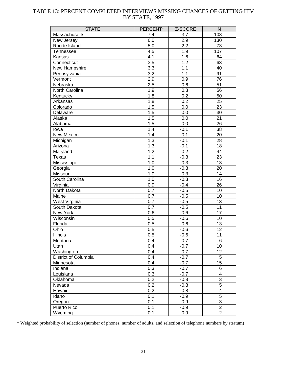#### TABLE 13: PERCENT COMPLETED INTERVIEWS MISSING CHANCES OF GETTING HIV BY STATE, 1997

| <b>STATE</b>         | PERCENT*         | Z-SCORE          | $\mathsf{N}$            |
|----------------------|------------------|------------------|-------------------------|
| Massachusetts        | 7.4              | 3.7              | 108                     |
| New Jersey           | 6.0              | $\overline{2.9}$ | 130                     |
| Rhode Island         | 5.0              | 2.2              | 73                      |
| Tennessee            | 4.5              | 1.9              | 107                     |
| Kansas               | 4.1              | 1.6              | 64                      |
| Connecticut          | 3.5              | 1.2              | 63                      |
| New Hampshire        | $\overline{3.3}$ | 1.1              | $\overline{40}$         |
| Pennsylvania         | $\overline{3.2}$ | 1.1              | 91                      |
| Vermont              | $\overline{2.9}$ | $\overline{0.9}$ | 76                      |
| Nebraska             | 2.5              | 0.6              | 51                      |
| North Carolina       | 1.9              | 0.3              | $\overline{56}$         |
| Kentucky             | 1.8              | $\overline{0.2}$ | 50                      |
| Arkansas             | 1.8              | 0.2              | $\overline{25}$         |
| Colorado             | 1.5              | 0.0              | $\overline{23}$         |
| Delaware             | 1.5              | 0.0              | $\overline{30}$         |
| Alaska               | 1.5              | 0.0              | 21                      |
| Alabama              | 1.5              | 0.0              | 26                      |
| lowa                 | 1.4              | $-0.1$           | 38                      |
| New Mexico           | 1.4              | $-0.1$           | $\overline{20}$         |
| Michigan             | 1.3              | $-0.1$           | $\overline{28}$         |
| Arizona              | 1.3              | $-0.1$           | 18                      |
| Maryland             | 1.2              | $-0.2$           | 44                      |
| <b>Texas</b>         | 1.1              | $-0.3$           | $\overline{23}$         |
| Mississippi          | 1.0              | $-0.3$           | 13                      |
| Georgia              | 1.0              | $-0.3$           | $\overline{20}$         |
| Missouri             | 1.0              | $-0.3$           | $\overline{14}$         |
| South Carolina       | 1.0              | $-0.3$           | $\overline{16}$         |
| Virginia             | 0.9              | $-0.4$           | 26                      |
| North Dakota         | 0.7              | $-0.5$           | 10                      |
| Maine                | 0.7              | $-0.5$           | 10                      |
| West Virginia        | 0.7              | $-0.5$           | 13                      |
| South Dakota         | 0.7              | $-0.5$           | 11                      |
| New York             | 0.6              | $-0.6$           | 17                      |
| Wisconsin            | 0.5              | $-0.6$           | 10                      |
| Florida              | 0.5              | $-0.6$           | 13                      |
| Ohio                 | 0.5              | $-0.6$           | $\overline{12}$         |
| Illinois             | 0.5              | $-0.6$           | 11                      |
| Montana              | 0.4              | $-0.7$           | 6                       |
| Utah                 | 0.4              | $-0.7$           | 10                      |
| Washington           | 0.4              | $-0.7$           | 12                      |
| District of Columbia | 0.4              | $-0.7$           | 5                       |
| Minnesota            | 0.4              | $-0.7$           | 15                      |
| Indiana              | 0.3              | $-0.7$           | 6                       |
| Louisiana            | 0.3              | $-0.7$           | 4                       |
| Oklahoma             | 0.2              | $-0.8$           | $\overline{3}$          |
| Nevada               | 0.2              | $-0.8$           | $\overline{5}$          |
| Hawaii               | 0.2              | $-0.8$           | $\overline{\mathbf{4}}$ |
| Idaho                | 0.1              | $-0.9$           | $\overline{5}$          |
| Oregon               | 0.1              | $-0.9$           | $\overline{3}$          |
| Puerto Rico          | 0.1              | $-0.9$           | $\overline{2}$          |
| Wyoming              | 0.1              | $-0.9$           | $\overline{2}$          |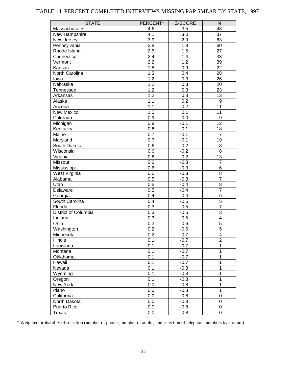# TABLE 14: PERCENT COMPLETED INTERVIEWS MISSING PAP SMEAR BY STATE, 1997

| <b>STATE</b>             | PERCENT*         | Z-SCORE          | N               |
|--------------------------|------------------|------------------|-----------------|
| Massachusetts            | 4.6              | 3.5              | 48              |
| New Hampshire            | 4.1              | 3.0              | $\overline{37}$ |
| New Jersey               | 3.9              | $\overline{2.9}$ | 63              |
| Pennsylvania             | 2.8              | 1.8              | 60              |
| Rhode Island             | 2.5              | 1.5              | 27              |
| Connecticut              | 2.4              | 1.4              | 33              |
| Vermont                  | 2.2              | 1.2              | 39              |
| Kansas                   | 1.8              | 0.9              | $\overline{22}$ |
| North Carolina           | 1.3              | 0.4              | $\overline{28}$ |
| lowa                     | 1.2              | 0.3              | $\overline{26}$ |
| Nebraska                 | 1.2              | 0.3              | 20              |
| Tennessee                | 1.2              | 0.3              | $\overline{23}$ |
| Arkansas                 | 1.2              | 0.3              | 13              |
| Alaska                   | 1.1              | 0.2              | $\overline{9}$  |
| Arizona                  | $\overline{1.1}$ | 0.2              | $\overline{11}$ |
| <b>New Mexico</b>        | 1.0              | 0.1              | 11              |
| Colorado                 | 0.9              | 0.0              | 9               |
| Michigan                 | 0.8              | $-0.1$           | $\overline{12}$ |
| Kentucky                 | 0.8              | $-0.1$           | 18              |
| Maine                    | 0.7              | $-0.1$           | $\overline{7}$  |
| Maryland                 | 0.7              | $-0.1$           | $\overline{19}$ |
| South Dakota             | 0.6              | $-0.2$           | 8               |
| Wisconsin                | 0.6              | $-0.2$           | 8               |
|                          | 0.6              | $-0.2$           | 13              |
| Virginia                 | 0.6              | $-0.3$           | $\overline{7}$  |
| Missouri                 | 0.6              | $-0.3$           | 6               |
| Mississippi              | 0.5              | $-0.3$           | $\overline{8}$  |
| West Virginia<br>Alabama | 0.5              | $-0.3$           | $\overline{7}$  |
| Utah                     | 0.5              | $-0.4$           | $\overline{8}$  |
| Delaware                 | 0.5              | $-0.4$           | $\overline{7}$  |
| Georgia                  | 0.4              | $-0.4$           | 6               |
| South Carolina           | 0.4              | $-0.5$           | $\overline{5}$  |
| Florida                  | 0.3              | $-0.5$           | $\overline{7}$  |
| District of Columbia     | 0.3              | $-0.5$           | $\overline{3}$  |
|                          | 0.3              | $-0.5$           | $\overline{4}$  |
| Indiana<br>Ohio          | 0.3              | $-0.6$           | $\overline{5}$  |
| Washington               | 0.2              | $-0.6$           | $\overline{5}$  |
|                          | 0.2              |                  | 4               |
| Minnesota<br>Illinois    | 0.1              | $-0.7$<br>$-0.7$ | $\overline{2}$  |
|                          | 0.1              | $-0.7$           | $\mathbf 1$     |
| Louisiana                |                  | $-0.7$           | 1               |
| Montana                  | 0.1              | $-0.7$           |                 |
| Oklahoma<br>Hawaii       | 0.1              |                  | 1<br>1          |
|                          | 0.1              | $-0.7$           |                 |
| Nevada                   | 0.1              | $-0.8$           | 1               |
| Wyoming                  | 0.1              | $-0.8$           | 1<br>1          |
| Oregon                   | 0.1              | $-0.8$           |                 |
| New York                 | 0.0              | $-0.8$           | 1               |
| Idaho                    | 0.0              | $-0.8$           | 1               |
| California               | 0.0              | $-0.8$           | 0               |
| North Dakota             | 0.0              | $-0.8$           | 0               |
| Puerto Rico              | 0.0              | $-0.8$           | 0               |
| Texas                    | 0.0              | $-0.8$           | 0               |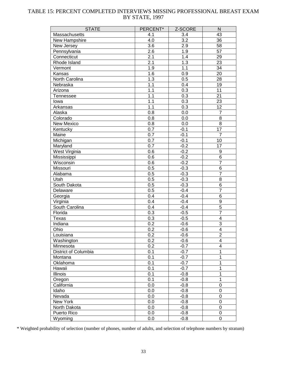#### TABLE 15: PERCENT COMPLETED INTERVIEWS MISSING PROFESSIONAL BREAST EXAM BY STATE, 1997

| <b>STATE</b>         | PERCENT*         | Z-SCORE          | N               |
|----------------------|------------------|------------------|-----------------|
| Massachusetts        | 4.1              | 3.4              | 43              |
| New Hampshire        | 4.0              | $\overline{3.2}$ | 36              |
| New Jersey           | 3.6              | $\overline{2.9}$ | $\overline{58}$ |
| Pennsylvania         | $\overline{2.6}$ | 1.9              | $\overline{57}$ |
| Connecticut          | 2.1              | 1.4              | $\overline{29}$ |
| Rhode Island         | 2.1              | 1.3              | 23              |
| Vermont              | 1.9              | 1.1              | $\overline{34}$ |
| Kansas               | 1.6              | 0.9              | $\overline{20}$ |
| North Carolina       | 1.3              | 0.5              | $\overline{28}$ |
| Nebraska             | 1.1              | 0.4              | 19              |
| Arizona              | 1.1              | 0.3              | 11              |
| Tennessee            | $\overline{1.1}$ | 0.3              | $\overline{21}$ |
| lowa                 | 1.1              | 0.3              | 23              |
| Arkansas             | 1.1              | 0.3              | $\overline{12}$ |
| Alaska               | 0.8              | 0.0              | $\overline{7}$  |
| Colorado             | 0.8              | 0.0              | $\overline{8}$  |
| New Mexico           | $\overline{0.8}$ | 0.0              | $\overline{8}$  |
| Kentucky             | $\overline{0.7}$ | $-0.1$           | $\overline{17}$ |
| Maine                | 0.7              | $-0.1$           | $\overline{7}$  |
| Michigan             | 0.7              | $-0.1$           | 10              |
| Maryland             | 0.7              | $-0.2$           | $\overline{17}$ |
| West Virginia        | 0.6              | $-0.2$           | $\overline{9}$  |
| Mississippi          | 0.6              | $-0.2$           | $\overline{6}$  |
| Wisconsin            | 0.6              | $-0.2$           | $\overline{7}$  |
| Missouri             | 0.5              | $-0.3$           | 6               |
| Alabama              | 0.5              | $-0.3$           | $\overline{7}$  |
| Utah                 | 0.5              | $-0.3$           | 8               |
| South Dakota         | 0.5              | $-0.3$           | 6               |
| Delaware             | 0.5              | $-0.4$           | $\overline{7}$  |
| Georgia              | $\overline{0.4}$ | $-0.4$           | $\overline{6}$  |
| Virginia             | $\overline{0.4}$ | $-0.4$           | $\overline{9}$  |
| South Carolina       | 0.4              | $-0.4$           | $\overline{5}$  |
| Florida              | 0.3              | $-0.5$           | $\overline{7}$  |
| Texas                | 0.3              | $-0.5$           | 4               |
| Indiana              | 0.2              | $-0.6$           | $\overline{3}$  |
| Ohio                 | $\overline{0.2}$ | $-0.6$           | $\overline{4}$  |
| Louisiana            | 0.2              | $-0.6$           | $\overline{2}$  |
| Washington           | 0.2              | $-0.6$           | 4               |
| Minnesota            | 0.2              | $-0.7$           | 4               |
| District of Columbia | 0.1              | $-0.7$           | 1               |
| Montana              | 0.1              | $-0.7$           | 1               |
| Oklahoma             | 0.1              | $-0.7$           | 1               |
| Hawaii               | 0.1              | $-0.7$           | 1               |
| Illinois             | 0.1              | $-0.8$           | 1               |
| Oregon               | 0.1              | $-0.8$           | $\mathbf 1$     |
| California           | 0.0              | $-0.8$           | 0               |
| Idaho                | 0.0              | $-0.8$           | 0               |
| Nevada               | 0.0              | $-0.8$           | 0               |
| New York             | 0.0              | $-0.8$           | $\overline{0}$  |
| North Dakota         | 0.0              | $-0.8$           | 0               |
| Puerto Rico          | 0.0              | $-0.8$           | 0               |
| Wyoming              | 0.0              | $-0.8$           | 0               |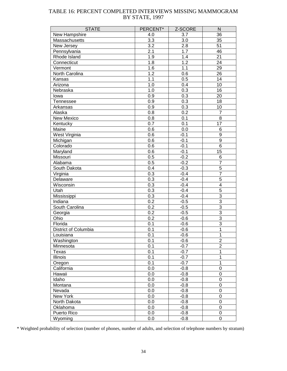| <b>STATE</b>         | PERCENT*         | Z-SCORE          | N                       |
|----------------------|------------------|------------------|-------------------------|
| New Hampshire        | 4.0              | 3.7              | 36                      |
| Massachusetts        | 3.3              | 3.0              | 35                      |
| New Jersey           | 3.2              | 2.8              | 51                      |
| Pennsylvania         | 2.1              | 1.7              | 46                      |
| Rhode Island         | 1.9              | 1.4              | $\overline{21}$         |
| Connecticut          | 1.8              | 1.2              | $\overline{24}$         |
| Vermont              | 1.6              | 1.1              | 29                      |
| North Carolina       | 1.2              | 0.6              | 26                      |
| Kansas               | 1.1              | 0.5              | 14                      |
| Arizona              | 1.0              | 0.4              | 10                      |
| Nebraska             | 1.0              | 0.3              | $\overline{16}$         |
| lowa                 | 0.9              | $\overline{0.3}$ | $\overline{20}$         |
| Tennessee            | 0.9              | 0.3              | 18                      |
| Arkansas             | 0.9              | 0.3              | 10                      |
| Alaska               | 0.8              | 0.2              | $\overline{7}$          |
| New Mexico           | 0.8              | 0.1              | $\overline{8}$          |
| Kentucky             | 0.7              | 0.1              | $\overline{17}$         |
| Maine                | 0.6              | 0.0              | 6                       |
| West Virginia        | 0.6              | $-0.1$           | $\boldsymbol{9}$        |
| Michigan             | 0.6              | $-0.1$           | $\overline{9}$          |
| Colorado             | 0.6              | $-0.1$           | $\overline{6}$          |
| Maryland             | 0.6              | $-0.1$           | $\overline{15}$         |
| Missouri             | 0.5              | $-0.2$           | $\overline{6}$          |
| Alabama              | 0.5              | $-0.2$           | $\overline{7}$          |
| South Dakota         | 0.4              | $-0.3$           | $\overline{5}$          |
| Virginia             | $\overline{0.3}$ | $-0.4$           | $\overline{7}$          |
| Delaware             | $\overline{0.3}$ | $-0.4$           | $\overline{5}$          |
| Wisconsin            | 0.3              | $-0.4$           | $\overline{\mathbf{4}}$ |
| Utah                 | $\overline{0.3}$ | $-0.4$           | $\overline{5}$          |
| Mississippi          | 0.3              | $-0.4$           | $\overline{3}$          |
| Indiana              | 0.2              | $-0.5$           | $\overline{3}$          |
| South Carolina       | 0.2              | $-0.5$           | $\overline{3}$          |
| Georgia              | 0.2              | $-0.5$           | $\overline{3}$          |
| Ohio                 | $\overline{0.2}$ | $-0.6$           | $\overline{3}$          |
| Florida              | 0.1              | $-0.6$           | $\overline{3}$          |
| District of Columbia | 0.1              | $-0.6$           | 1                       |
| Louisiana            | $\overline{0.1}$ | $-0.6$           | 1                       |
| Washington           | 0.1              | $-0.6$           | $\overline{2}$          |
| Minnesota            | 0.1              | $-0.7$           | $\overline{2}$          |
| Texas                | 0.1              | $-0.7$           | 1                       |
| Illinois             | 0.1              | $-0.7$           | $\mathbf{1}$            |
| Oregon               | 0.1              | $-0.7$           | 1                       |
| California           | 0.0              | $-0.8$           | $\boldsymbol{0}$        |
| Hawaii               | 0.0              | $-0.8$           | $\mathbf 0$             |
| Idaho                | 0.0              | $-0.8$           | $\mathbf 0$             |
| Montana              | 0.0              | $-0.8$           | $\mathbf 0$             |
| Nevada               | 0.0              | $-0.8$           | $\mathbf 0$             |
| New York             | 0.0              | $-0.8$           | $\boldsymbol{0}$        |
| North Dakota         | 0.0              | $-0.8$           | $\boldsymbol{0}$        |
| Oklahoma             | 0.0              | $-0.8$           | 0                       |
| Puerto Rico          | 0.0              | $-0.8$           | 0                       |
| Wyoming              | 0.0              | $-0.8$           | 0                       |

### TABLE 16: PERCENT COMPLETED INTERVIEWS MISSING MAMMOGRAM BY STATE, 1997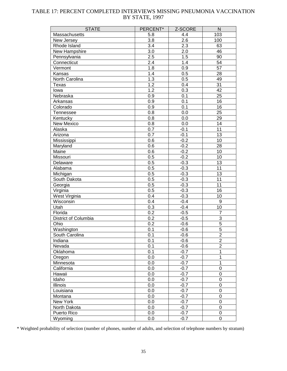#### TABLE 17: PERCENT COMPLETED INTERVIEWS MISSING PNEUMONIA VACCINATION BY STATE, 1997

| <b>STATE</b>         | PERCENT*         | Z-SCORE          | N                |
|----------------------|------------------|------------------|------------------|
| Massachusetts        | 5.8              | 4.4              | 103              |
| New Jersey           | $\overline{3.8}$ | $\overline{2.6}$ | 100              |
| Rhode Island         | 3.4              | 2.3              | 63               |
| New Hampshire        | 3.0              | $\overline{2.0}$ | 46               |
| Pennsylvania         | 2.5              | 1.5              | 90               |
| Connecticut          | 2.4              | 1.4              | $\overline{54}$  |
| Vermont              | $\overline{1.8}$ | 0.9              | $\overline{57}$  |
| Kansas               | 1.4              | 0.5              | $\overline{28}$  |
| North Carolina       | $\overline{1.3}$ | 0.5              | 49               |
| Texas                | 1.2              | 0.4              | 31               |
| lowa                 | $\overline{1.2}$ | 0.3              | $\overline{42}$  |
| Nebraska             | 0.9              | 0.1              | $\overline{25}$  |
| Arkansas             | 0.9              | 0.1              | 16               |
| Colorado             | $\overline{0.9}$ | 0.1              | $\overline{16}$  |
| Tennessee            | 0.8              | 0.0              | $\overline{25}$  |
| Kentucky             | 0.8              | 0.0              | 29               |
| New Mexico           | $\overline{0.8}$ | 0.0              | 14               |
| Alaska               | 0.7              | $-0.1$           | $\overline{11}$  |
| Arizona              | $\overline{0.7}$ | $-0.1$           | 13               |
| Mississippi          | 0.6              | $-0.2$           | $\overline{10}$  |
| Maryland             | 0.6              | $-0.2$           | $\overline{28}$  |
| Maine                | 0.6              | $-0.2$           | 10               |
| Missouri             | 0.5              | $-0.2$           | 10               |
| Delaware             | 0.5              | $-0.3$           | 13               |
| Alabama              | 0.5              | $-0.3$           | 11               |
| Michigan             | 0.5              | $-0.3$           | $\overline{13}$  |
| South Dakota         | 0.5              | $-0.3$           | $\overline{11}$  |
| Georgia              | 0.5              | $-0.3$           | 11               |
| Virginia             | 0.5              | $-0.3$           | 16               |
| West Virginia        | 0.4              | $-0.3$           | 10               |
| Wisconsin            | 0.4              | $-0.4$           | $\boldsymbol{9}$ |
| <b>Utah</b>          | 0.3              | $-0.4$           | 10               |
| Florida              | $\overline{0.2}$ | $-0.5$           | $\overline{7}$   |
| District of Columbia | $\overline{0.2}$ | $-0.5$           | $\overline{3}$   |
| Ohio                 | 0.2              | $-0.6$           | $\overline{5}$   |
| Washington           | 0.1              | $-0.6$           | $\overline{5}$   |
| South Carolina       | 0.1              | $-0.6$           | $\overline{2}$   |
| Indiana              | 0.1              | $-0.6$           | $\overline{2}$   |
| Nevada               | 0.1              | $-0.6$           | $\overline{2}$   |
| Oklahoma             | 0.1              | $-0.7$           | 1                |
| Oregon               | 0.0              | $-0.7$           | 1                |
| Minnesota            | 0.0              | $-0.7$           | $\mathbf 1$      |
| California           | 0.0              | $-0.7$           | 0                |
| Hawaii               | 0.0              | $-0.7$           | 0                |
| Idaho                | 0.0              | $-0.7$           | 0                |
| Illinois             | 0.0              | $-0.7$           | $\overline{0}$   |
| Louisiana            | 0.0              | $-0.7$           | 0                |
| Montana              | 0.0              | $-0.7$           | 0                |
| New York             | 0.0              | $-0.7$           | 0                |
| North Dakota         | 0.0              | $-0.7$           | $\mathbf 0$      |
| Puerto Rico          | 0.0              | $-0.7$           | 0                |
| Wyoming              | 0.0              | $-0.7$           | $\overline{0}$   |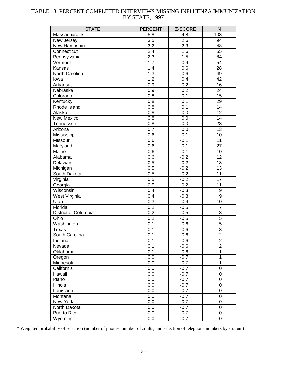#### TABLE 18: PERCENT COMPLETED INTERVIEWS MISSING INFLUENZA IMMUNIZATION BY STATE, 1997

| <b>STATE</b>                        | PERCENT*                | Z-SCORE          | N                                |
|-------------------------------------|-------------------------|------------------|----------------------------------|
| Massachusetts                       | 5.8                     | 4.8              | 103                              |
| New Jersey                          | $\overline{3.5}$        | $\overline{2.6}$ | 94                               |
| New Hampshire                       | 3.2                     | 2.3              | 48                               |
| Connecticut                         | 2.4                     | 1.6              | $\overline{55}$                  |
| Pennsylvania                        | $\overline{2.3}$        | 1.5              | 84                               |
| Vermont                             | 1.7                     | 0.9              | 54                               |
| Kansas                              | 1.4                     | 0.6              | 28                               |
| North Carolina                      | $\overline{1.3}$        | 0.6              | 49                               |
| lowa                                | 1.2                     | 0.4              | $\overline{42}$                  |
| Arkansas                            | 0.9                     | 0.2              | 16                               |
| Nebraska                            | 0.9                     | $\overline{0.2}$ | $\overline{24}$                  |
| Colorado                            | 0.8                     | 0.1              | $\overline{15}$                  |
| Kentucky                            | 0.8                     | 0.1              | 29                               |
| Rhode Island                        | 0.8                     | 0.1              | $\overline{14}$                  |
| Alaska                              | 0.8                     | 0.0              | $\overline{12}$                  |
| New Mexico                          | 0.8                     | 0.0              | 14                               |
| Tennessee                           | 0.8                     | 0.0              | $\overline{23}$                  |
| Arizona                             | 0.7                     | 0.0              | 13                               |
| Mississippi                         | 0.6                     | $-0.1$           | 10                               |
| Missouri                            | 0.6                     | $-0.1$           | $\overline{11}$                  |
| Maryland                            | 0.6                     | $-0.1$           | $\overline{27}$                  |
| Maine                               | 0.6                     | $-0.1$           | 10                               |
| Alabama                             | 0.6                     | $-0.2$           | $\overline{12}$                  |
|                                     | 0.5                     | $-0.2$           | 13                               |
| Delaware                            | 0.5                     | $-0.2$           | 13                               |
| Michigan<br>South Dakota            | 0.5                     | $-0.2$           | $\overline{11}$                  |
|                                     | 0.5                     | $-0.2$           | $\overline{17}$                  |
| Virginia                            | 0.5                     | $-0.2$           | 11                               |
| Georgia<br>Wisconsin                | 0.4                     | $-0.3$           | $\boldsymbol{9}$                 |
|                                     | 0.4                     | $-0.3$           | $\overline{9}$                   |
| West Virginia<br>$\overline{U}$ tah |                         | $-0.4$           | 10                               |
| Florida                             | 0.3<br>$\overline{0.2}$ | $-0.5$           | $\overline{7}$                   |
| District of Columbia                |                         |                  | $\overline{3}$                   |
|                                     | 0.2                     | $-0.5$           | $\overline{5}$                   |
| Ohio                                | $\overline{0.2}$        | $-0.5$           |                                  |
| Washington                          | 0.1                     | $-0.6$           | $\overline{5}$                   |
| Texas                               | 0.1                     | $-0.6$           | $\overline{3}$<br>$\overline{2}$ |
| South Carolina                      | 0.1                     | $-0.6$           |                                  |
| Indiana                             | 0.1                     | $-0.6$           | $\overline{2}$                   |
| Nevada                              | 0.1                     | $-0.6$           | $\overline{2}$                   |
| Oklahoma                            | 0.1                     | $-0.6$           | 1                                |
| Oregon                              | 0.0                     | $-0.7$           | $\mathbf 1$                      |
| Minnesota                           | 0.0                     | $-0.7$           | $\mathbf 1$                      |
| California                          | 0.0                     | $-0.7$           | 0                                |
| Hawaii                              | 0.0                     | $-0.7$           | 0                                |
| Idaho                               | 0.0                     | $-0.7$           | 0                                |
| Illinois                            | 0.0                     | $-0.7$           | $\overline{0}$                   |
| Louisiana                           | 0.0                     | $-0.7$           | 0                                |
| Montana                             | 0.0                     | $-0.7$           | 0                                |
| New York                            | 0.0                     | $-0.7$           | 0                                |
| North Dakota                        | 0.0                     | $-0.7$           | $\mathbf 0$                      |
| Puerto Rico                         | 0.0                     | $-0.7$           | 0                                |
| Wyoming                             | 0.0                     | $-0.7$           | $\overline{0}$                   |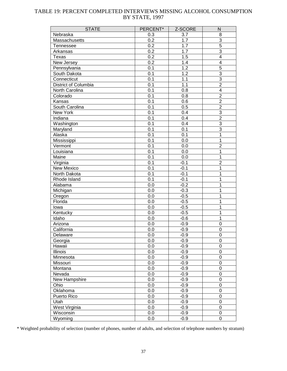#### TABLE 19: PERCENT COMPLETED INTERVIEWS MISSING ALCOHOL CONSUMPTION BY STATE, 1997

| <b>STATE</b>         | PERCENT*         | Z-SCORE          | N              |
|----------------------|------------------|------------------|----------------|
| Nebraska             | 0.3              | $\overline{3.7}$ | 8              |
| Massachusetts        | 0.2              | 1.7              | $\overline{3}$ |
| Tennessee            | 0.2              | 1.7              | $\overline{5}$ |
| Arkansas             | 0.2              | 1.7              | $\overline{3}$ |
| Texas                | $\overline{0.2}$ | 1.5              | $\overline{4}$ |
| New Jersey           | 0.2              | 1.4              | $\overline{4}$ |
| Pennsylvania         | 0.1              | 1.2              | $\overline{5}$ |
| South Dakota         | 0.1              | 1.2              | 3              |
| Connecticut          | $\overline{0.1}$ | 1.1              | $\overline{3}$ |
| District of Columbia | 0.1              | 1.1              | $\overline{2}$ |
| North Carolina       | 0.1              | $\overline{0.8}$ | 4              |
| Colorado             | 0.1              | 0.8              | $\overline{2}$ |
| Kansas               | 0.1              | 0.6              | $\overline{2}$ |
| South Carolina       | $\overline{0.1}$ | 0.5              | $\overline{2}$ |
| <b>New York</b>      | $\overline{0.1}$ | $\overline{0.4}$ | 3              |
| Indiana              | 0.1              | 0.4              | $\overline{2}$ |
| Washington           | 0.1              | $\overline{0.4}$ | 3              |
| Maryland             | 0.1              | 0.1              | $\overline{3}$ |
| Alaska               | 0.1              | 0.1              | $\mathbf{1}$   |
| Mississippi          | $\overline{0.1}$ | 0.0              | $\overline{1}$ |
| Vermont              | $\overline{0.1}$ | 0.0              | $\overline{2}$ |
| Louisiana            | 0.1              | 0.0              | 1              |
| Maine                | 0.1              | 0.0              | 1              |
| Virginia             | 0.1              | $-0.1$           | $\overline{2}$ |
| New Mexico           | 0.1              | $-0.1$           | $\mathbf 1$    |
| North Dakota         | 0.1              | $-0.1$           | $\overline{1}$ |
| Rhode Island         | 0.1              | $-0.1$           | 1              |
| Alabama              | 0.0              | $-0.2$           | 1              |
| Michigan             | 0.0              | $-0.3$           | 1              |
| Oregon               | 0.0              | $-0.5$           | 1              |
| Florida              | 0.0              | $-0.5$           | 1              |
| lowa                 | 0.0              | $-0.5$           | 1              |
| Kentucky             | 0.0              | $-0.5$           | 1              |
| Idaho                | 0.0              | $-0.6$           | 1              |
| Arizona              | 0.0              | $-0.9$           | $\mathbf 0$    |
| California           | 0.0              | $-0.9$           | $\mathbf 0$    |
| Delaware             | 0.0              | $-0.9$           | 0              |
| Georgia              | 0.0              | $-0.9$           | 0              |
| Hawaii               | 0.0              | $-0.9$           | 0              |
| Illinois             | 0.0              | $-0.9$           | 0              |
| Minnesota            | 0.0              | $-0.9$           | 0              |
| Missouri             | 0.0              | $-0.9$           | 0              |
| Montana              | 0.0              | $-0.9$           | 0              |
| Nevada               | 0.0              | $-0.9$           | $\mathbf 0$    |
| New Hampshire        | 0.0              | $-0.9$           | $\overline{0}$ |
| Ohio                 | 0.0              | $-0.9$           | $\overline{0}$ |
| Oklahoma             | 0.0              |                  | $\mathbf 0$    |
| Puerto Rico          | 0.0              | $-0.9$<br>$-0.9$ | 0              |
| Utah                 | 0.0              | $-0.9$           | 0              |
| West Virginia        | 0.0              | $-0.9$           | $\mathbf 0$    |
| Wisconsin            | 0.0              | $-0.9$           | $\overline{0}$ |
| Wyoming              | 0.0              | $-0.9$           | 0              |
|                      |                  |                  |                |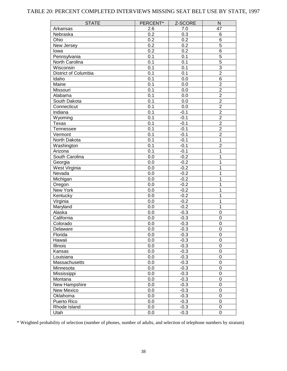# TABLE 20: PERCENT COMPLETED INTERVIEWS MISSING SEAT BELT USE BY STATE, 1997

| <b>STATE</b>         | PERCENT*         | Z-SCORE          | N                |
|----------------------|------------------|------------------|------------------|
| Arkansas             | 2.6              | 7.0              | 47               |
| Nebraska             | 0.2              | 0.3              | 6                |
| Ohio                 | 0.2              | 0.2              | $\overline{6}$   |
| New Jersey           | 0.2              | 0.2              | $\overline{5}$   |
| lowa                 | 0.2              | 0.2              | 6                |
| Pennsylvania         | 0.1              | 0.1              | $\overline{5}$   |
| North Carolina       | 0.1              | 0.1              | $\overline{5}$   |
| Wisconsin            | 0.1              | 0.1              | $\overline{3}$   |
| District of Columbia | 0.1              | $0.\overline{1}$ | $\overline{2}$   |
| Idaho                | 0.1              | 0.0              | $\overline{6}$   |
| Maine                | 0.1              | 0.0              | $\overline{2}$   |
| Missouri             | 0.1              | 0.0              | $\overline{2}$   |
| Alabama              | 0.1              | 0.0              | $\overline{2}$   |
| South Dakota         | 0.1              | 0.0              | $\overline{2}$   |
| Connecticut          | 0.1              | 0.0              | $\overline{2}$   |
| <b>Indiana</b>       | 0.1              | $-0.1$           | $\overline{2}$   |
| Wyoming              | 0.1              | $-0.1$           | $\overline{2}$   |
| Texas                | 0.1              | $-0.1$           | $\overline{2}$   |
| Tennessee            | 0.1              | $-0.1$           | $\overline{2}$   |
| Vermont              | 0.1              | $-0.1$           | $\overline{2}$   |
| North Dakota         | 0.1              | $-0.1$           | $\overline{1}$   |
| Washington           | $\overline{0.1}$ | $-0.1$           | $\overline{2}$   |
| Arizona              | 0.1              | $-0.1$           | 1                |
| South Carolina       | 0.0              | $-0.2$           | 1                |
| Georgia              | 0.0              | $-0.2$           | 1                |
| West Virginia        | 0.0              | $-0.2$           | 1                |
| Nevada               | 0.0              | $-0.2$           | 1                |
| Michigan             | 0.0              | $-0.2$           | 1                |
| Oregon               | 0.0              | $-0.2$           | 1                |
| New York             | 0.0              | $-0.2$           | 1                |
| Kentucky             | 0.0              | $-0.2$           | 1                |
| Virginia             | 0.0              | $-0.2$           | 1                |
| Maryland             | 0.0              | $-0.2$           | 1                |
| Alaska               | 0.0              | $-0.3$           | $\overline{0}$   |
| California           | 0.0              | $-0.3$           | $\mathbf 0$      |
| Colorado             | 0.0              | $-0.3$           | $\mathbf 0$      |
| Delaware             | 0.0              | $-0.3$           | 0                |
| Florida              | 0.0              | $-0.3$           | 0                |
| Hawaii               | 0.0              | $-0.3$           | $\mathbf 0$      |
| Illinois             | 0.0              | $-0.3$           | $\mathbf 0$      |
| Kansas               | 0.0              | $-0.3$           | $\mathbf 0$      |
| Louisiana            | 0.0              | $-0.3$           | $\mathbf 0$      |
| Massachusetts        | 0.0              | $-0.3$           | $\mathbf 0$      |
| Minnesota            | 0.0              | $-0.3$           | $\boldsymbol{0}$ |
| Mississippi          | 0.0              | $-0.3$           | $\boldsymbol{0}$ |
| Montana              | 0.0              | $-0.3$           | $\boldsymbol{0}$ |
| New Hampshire        | 0.0              | $-0.3$           | $\boldsymbol{0}$ |
| New Mexico           | 0.0              | $-0.3$           | $\boldsymbol{0}$ |
| Oklahoma             | 0.0              | $-0.3$           | $\boldsymbol{0}$ |
| Puerto Rico          | 0.0              | $-0.3$           | $\boldsymbol{0}$ |
| Rhode Island         | 0.0              | $-0.3$           | 0                |
| Utah                 | 0.0              | $-0.3$           | 0                |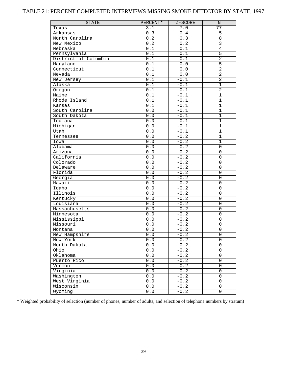# TABLE 21: PERCENT COMPLETED INTERVIEWS MISSING SMOKE DETECTOR BY STATE, 1997

| <b>STATE</b>         | PERCENT*          | $Z-SCORE$         | N              |
|----------------------|-------------------|-------------------|----------------|
| Texas                | 3.1               | 7.0               | 77             |
| Arkansas             | 0.3               | 0.4               | 5              |
| North Carolina       | 0.2               | 0.3               | $\overline{8}$ |
| New Mexico           | 0.2               | 0.2               | 3              |
| Nebraska             | 0.1               | 0.1               | $\overline{4}$ |
| Pennsylvania         | $\overline{0}.1$  | 0.1               | $\overline{5}$ |
| District of Columbia | 0.1               | 0.1               | $\overline{2}$ |
| Maryland             | 0.1               | 0.0               | $\overline{5}$ |
| Connecticut          | 0.1               | 0.0               | $\overline{2}$ |
| Nevada               | 0.1               | 0.0               | $\overline{2}$ |
| New Jersey           | 0.1               | $-0.1$            | $\overline{2}$ |
| Alaska               | 0.1               | $-0.1$            | $\mathbf 1$    |
| Oregon               | 0.1               | $-0.1$            | $\mathbf{2}$   |
| Maine                | 0.1               | $-0.1$            | $\overline{1}$ |
| Rhode Island         | $\overline{0.1}$  | $-0.1$            | $\mathbf 1$    |
| Kansas               | 0.1               | $-0.1$            | $\mathbf{1}$   |
| South Carolina       | $\overline{0.0}$  | $-0.1$            | $\mathbf{1}$   |
| South Dakota         | 0.0               | $-0.1$            | 1              |
| Indiana              | 0.0               | $-0.1$            | $\mathbf 1$    |
| Michigan             | 0.0               | $-0.1$            | $\mathbf{1}$   |
| Utah                 | 0.0               | $-0.1$            | $\mathbf 1$    |
| Tennessee            | 0.0               | $-0.2$            | $1\,$          |
| $\overline{I}$ owa   | 0.0               | $-0.2$            | $\mathbf{1}$   |
| Alabama              | $\overline{0.0}$  | $-0.2$            | $\mathbf 0$    |
| Arizona              | 0.0               | $-0.2$            | 0              |
| California           | 0.0               | $-0.\overline{2}$ | $\mathbf 0$    |
| Colorado             | 0.0               | $-0.2$            | $\mathbf 0$    |
| Delaware             | $\overline{0.0}$  | $-0.2$            | $\mathbf 0$    |
| Florida              | 0.0               | $-0.2$            | $\overline{0}$ |
| Georgia              | 0.0               | $-0.2$            | $\mathbf 0$    |
| Hawaii               | $\overline{0}$ .0 | $-0.\overline{2}$ | 0              |
| Idaho                | 0.0               | $-0.2$            | $\mathbf 0$    |
| Illinois             | 0.0               | $-0.2$            | $\mathbf 0$    |
| Kentucky             | 0.0               | $-0.2$            | $\mathbf 0$    |
| Louisiana            | 0.0               | $-0.2$            | $\mathbf 0$    |
| Massachusetts        | 0.0               | $-0.2$            | $\mathbf 0$    |
| Minnesota            | $\overline{0}$ .0 | $-0.2$            | $\mathbf 0$    |
| Mississippi          | 0.0               | $-0.2$            | 0              |
| Missouri             | 0.0               | $-0.2$            | $\overline{0}$ |
| Montana              | 0.0               | $-0.2$            | 0              |
| New Hampshire        | 0.0               | $-0.2$            | 0              |
| New York             | $0.0$             | $-0.2$            | $\overline{0}$ |
| North Dakota         | 0.0               | $-0.2$            | 0              |
| Ohio                 | 0.0               | $-0.2$            | 0              |
| Oklahoma             | 0.0               | $-0.2$            | $\mathbf 0$    |
| Puerto Rico          | 0.0               | $-0.2$            | 0              |
| Vermont              | 0.0               | $-0.2$            | 0              |
| Virginia             | 0.0               | $-0.2$            | $\mathbf 0$    |
| Washington           | 0.0               | $-0.2$            | 0              |
| West Virginia        | 0.0               | $-0.2$            | 0              |
| Wisconsin            | 0.0               | $-0.2$            | 0              |
| Wyoming              | 0.0               | $-0.2$            | 0              |